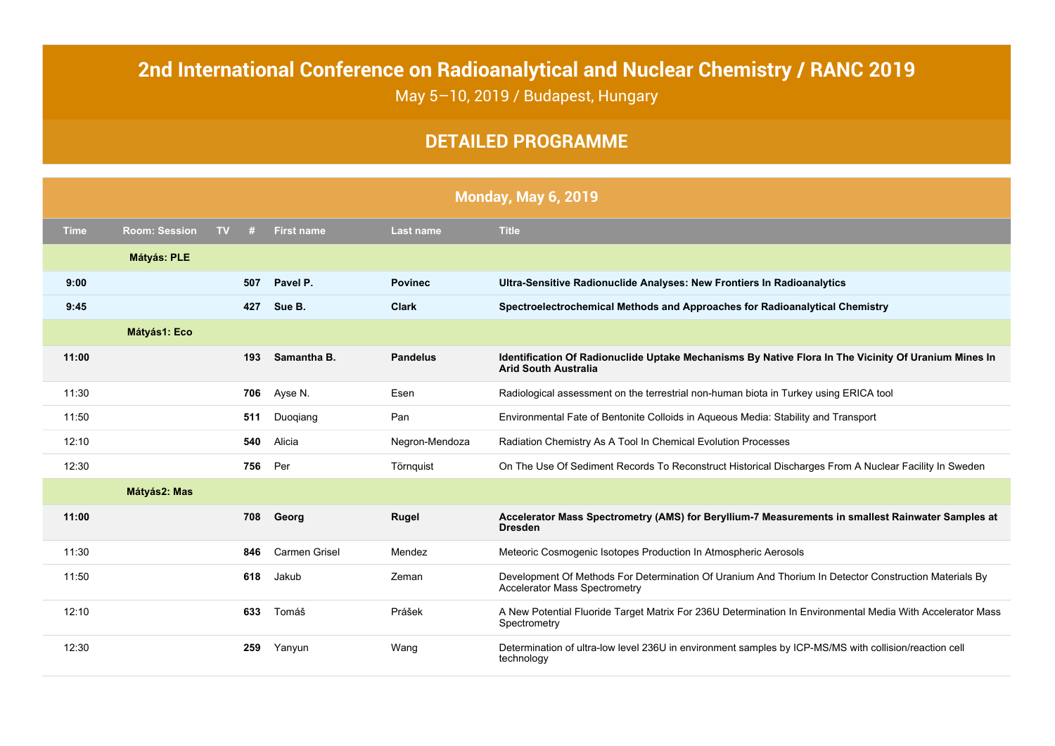## **2nd International Conference on Radioanalytical and Nuclear Chemistry / RANC 2019** May 5–10, 2019 / Budapest, Hungary

## **DETAILED PROGRAMME**

|             | <b>Monday, May 6, 2019</b> |           |     |                      |                  |                                                                                                                                               |  |  |
|-------------|----------------------------|-----------|-----|----------------------|------------------|-----------------------------------------------------------------------------------------------------------------------------------------------|--|--|
| <b>Time</b> | <b>Room: Session</b>       | <b>TV</b> | #   | <b>First name</b>    | <b>Last name</b> | <b>Title</b>                                                                                                                                  |  |  |
|             | <b>Mátyás: PLE</b>         |           |     |                      |                  |                                                                                                                                               |  |  |
| 9:00        |                            |           | 507 | Pavel P.             | <b>Povinec</b>   | Ultra-Sensitive Radionuclide Analyses: New Frontiers In Radioanalytics                                                                        |  |  |
| 9:45        |                            |           | 427 | Sue B.               | <b>Clark</b>     | Spectroelectrochemical Methods and Approaches for Radioanalytical Chemistry                                                                   |  |  |
|             | <b>Mátyás1: Eco</b>        |           |     |                      |                  |                                                                                                                                               |  |  |
| 11:00       |                            |           | 193 | Samantha B.          | <b>Pandelus</b>  | Identification Of Radionuclide Uptake Mechanisms By Native Flora In The Vicinity Of Uranium Mines In<br><b>Arid South Australia</b>           |  |  |
| 11:30       |                            |           | 706 | Ayse N.              | Esen             | Radiological assessment on the terrestrial non-human biota in Turkey using ERICA tool                                                         |  |  |
| 11:50       |                            |           | 511 | Duogiang             | Pan              | Environmental Fate of Bentonite Colloids in Aqueous Media: Stability and Transport                                                            |  |  |
| 12:10       |                            |           | 540 | Alicia               | Negron-Mendoza   | Radiation Chemistry As A Tool In Chemical Evolution Processes                                                                                 |  |  |
| 12:30       |                            |           | 756 | Per                  | Törnquist        | On The Use Of Sediment Records To Reconstruct Historical Discharges From A Nuclear Facility In Sweden                                         |  |  |
|             | Mátyás2: Mas               |           |     |                      |                  |                                                                                                                                               |  |  |
| 11:00       |                            |           | 708 | Georg                | <b>Rugel</b>     | Accelerator Mass Spectrometry (AMS) for Beryllium-7 Measurements in smallest Rainwater Samples at<br><b>Dresden</b>                           |  |  |
| 11:30       |                            |           | 846 | <b>Carmen Grisel</b> | Mendez           | Meteoric Cosmogenic Isotopes Production In Atmospheric Aerosols                                                                               |  |  |
| 11:50       |                            |           | 618 | Jakub                | Zeman            | Development Of Methods For Determination Of Uranium And Thorium In Detector Construction Materials By<br><b>Accelerator Mass Spectrometry</b> |  |  |
| 12:10       |                            |           | 633 | Tomáš                | Prášek           | A New Potential Fluoride Target Matrix For 236U Determination In Environmental Media With Accelerator Mass<br>Spectrometry                    |  |  |
| 12:30       |                            |           | 259 | Yanyun               | Wang             | Determination of ultra-low level 236U in environment samples by ICP-MS/MS with collision/reaction cell<br>technology                          |  |  |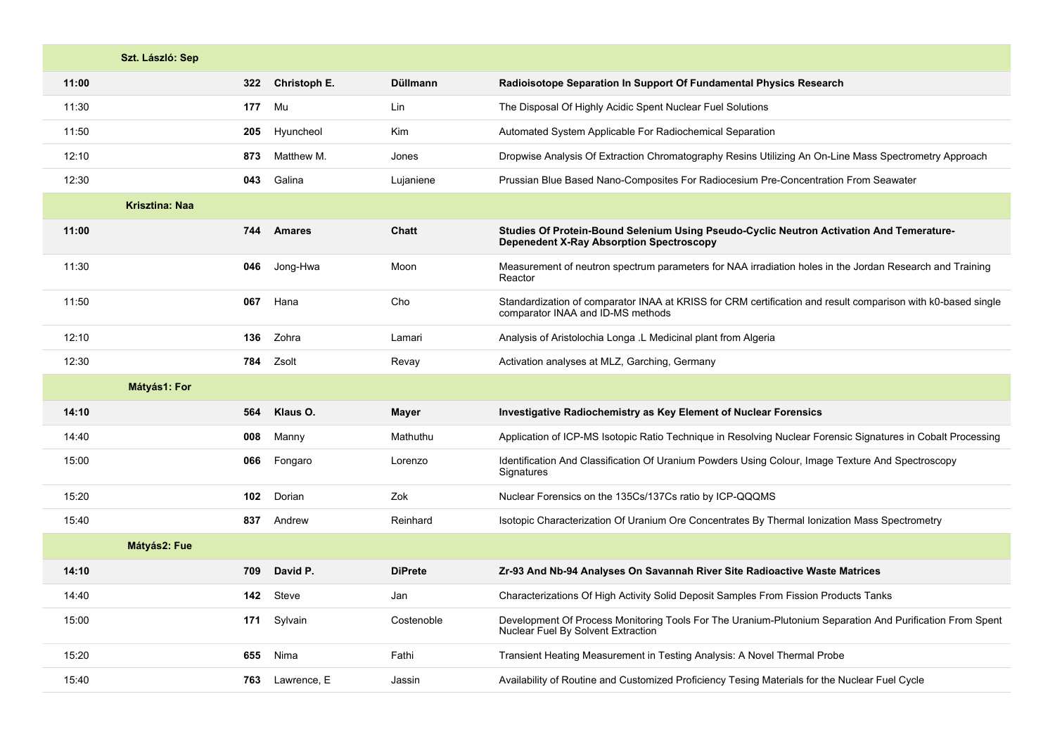|       | Szt. László: Sep      |                            |                 |                                                                                                                                                   |
|-------|-----------------------|----------------------------|-----------------|---------------------------------------------------------------------------------------------------------------------------------------------------|
| 11:00 |                       | 322<br><b>Christoph E.</b> | <b>Düllmann</b> | Radioisotope Separation In Support Of Fundamental Physics Research                                                                                |
| 11:30 |                       | Mu<br>177                  | Lin             | The Disposal Of Highly Acidic Spent Nuclear Fuel Solutions                                                                                        |
| 11:50 |                       | Hyuncheol<br>205           | Kim             | Automated System Applicable For Radiochemical Separation                                                                                          |
| 12:10 |                       | Matthew M.<br>873          | Jones           | Dropwise Analysis Of Extraction Chromatography Resins Utilizing An On-Line Mass Spectrometry Approach                                             |
| 12:30 |                       | 043<br>Galina              | Lujaniene       | Prussian Blue Based Nano-Composites For Radiocesium Pre-Concentration From Seawater                                                               |
|       | <b>Krisztina: Naa</b> |                            |                 |                                                                                                                                                   |
| 11:00 |                       | <b>Amares</b><br>744       | Chatt           | Studies Of Protein-Bound Selenium Using Pseudo-Cyclic Neutron Activation And Temerature-<br><b>Depenedent X-Ray Absorption Spectroscopy</b>       |
| 11:30 |                       | Jong-Hwa<br>046            | Moon            | Measurement of neutron spectrum parameters for NAA irradiation holes in the Jordan Research and Training<br>Reactor                               |
| 11:50 |                       | Hana<br>067                | Cho             | Standardization of comparator INAA at KRISS for CRM certification and result comparison with k0-based single<br>comparator INAA and ID-MS methods |
| 12:10 |                       | 136<br>Zohra               | Lamari          | Analysis of Aristolochia Longa .L Medicinal plant from Algeria                                                                                    |
| 12:30 |                       | Zsolt<br>784               | Revay           | Activation analyses at MLZ, Garching, Germany                                                                                                     |
|       | Mátyás1: For          |                            |                 |                                                                                                                                                   |
| 14:10 |                       | Klaus O.<br>564            | <b>Mayer</b>    | <b>Investigative Radiochemistry as Key Element of Nuclear Forensics</b>                                                                           |
| 14:40 |                       | Manny<br>008               | Mathuthu        | Application of ICP-MS Isotopic Ratio Technique in Resolving Nuclear Forensic Signatures in Cobalt Processing                                      |
| 15:00 |                       | Fongaro<br>066             | Lorenzo         | Identification And Classification Of Uranium Powders Using Colour, Image Texture And Spectroscopy<br>Signatures                                   |
| 15:20 |                       | Dorian<br>102              | Zok             | Nuclear Forensics on the 135Cs/137Cs ratio by ICP-QQQMS                                                                                           |
| 15:40 |                       | Andrew<br>837              | Reinhard        | Isotopic Characterization Of Uranium Ore Concentrates By Thermal Ionization Mass Spectrometry                                                     |
|       | Mátyás2: Fue          |                            |                 |                                                                                                                                                   |
| 14:10 |                       | 709<br>David P.            | <b>DiPrete</b>  | Zr-93 And Nb-94 Analyses On Savannah River Site Radioactive Waste Matrices                                                                        |
| 14:40 |                       | Steve<br>142               | Jan             | Characterizations Of High Activity Solid Deposit Samples From Fission Products Tanks                                                              |
| 15:00 |                       | Sylvain<br>171             | Costenoble      | Development Of Process Monitoring Tools For The Uranium-Plutonium Separation And Purification From Spent<br>Nuclear Fuel By Solvent Extraction    |
| 15:20 |                       | Nima<br>655                | Fathi           | Transient Heating Measurement in Testing Analysis: A Novel Thermal Probe                                                                          |
| 15:40 |                       | 763<br>Lawrence, E         | Jassin          | Availability of Routine and Customized Proficiency Tesing Materials for the Nuclear Fuel Cycle                                                    |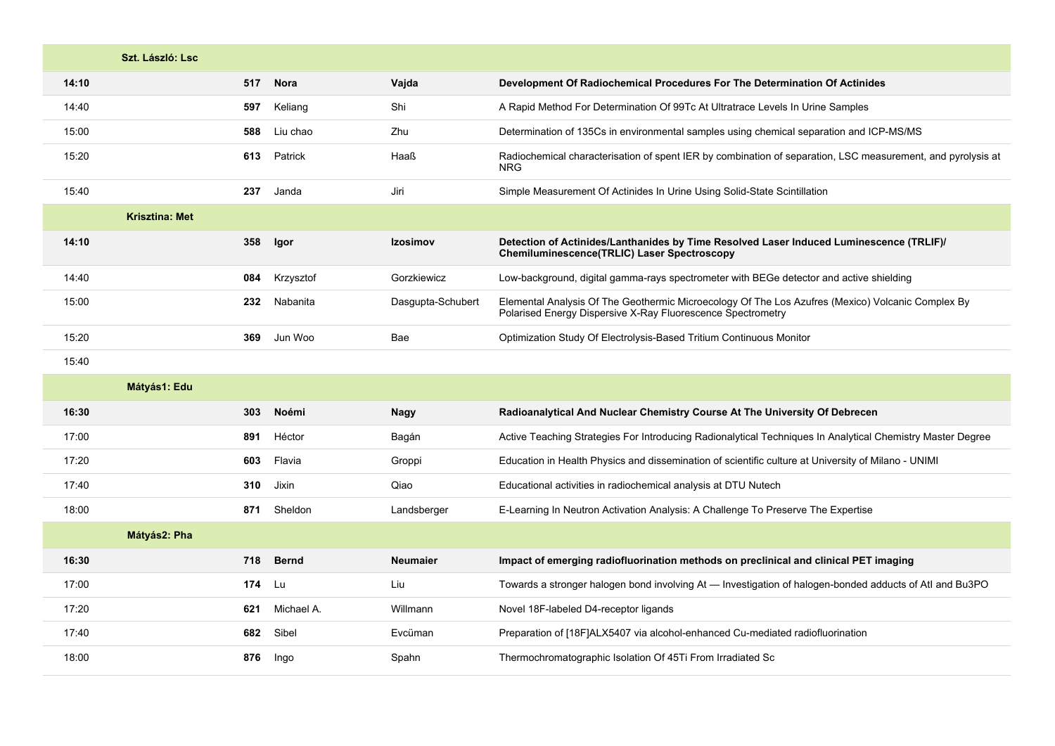|       | Szt. László: Lsc.     |        |              |                   |                                                                                                                                                                  |
|-------|-----------------------|--------|--------------|-------------------|------------------------------------------------------------------------------------------------------------------------------------------------------------------|
| 14:10 |                       | 517    | <b>Nora</b>  | Vajda             | Development Of Radiochemical Procedures For The Determination Of Actinides                                                                                       |
| 14:40 |                       | 597    | Keliang      | Shi               | A Rapid Method For Determination Of 99Tc At Ultratrace Levels In Urine Samples                                                                                   |
| 15:00 |                       | 588    | Liu chao     | Zhu               | Determination of 135Cs in environmental samples using chemical separation and ICP-MS/MS                                                                          |
| 15:20 |                       | 613    | Patrick      | Haaß              | Radiochemical characterisation of spent IER by combination of separation, LSC measurement, and pyrolysis at<br><b>NRG</b>                                        |
| 15:40 |                       | 237    | Janda        | Jiri              | Simple Measurement Of Actinides In Urine Using Solid-State Scintillation                                                                                         |
|       | <b>Krisztina: Met</b> |        |              |                   |                                                                                                                                                                  |
| 14:10 |                       | 358    | Igor         | Izosimov          | Detection of Actinides/Lanthanides by Time Resolved Laser Induced Luminescence (TRLIF)/<br>Chemiluminescence(TRLIC) Laser Spectroscopy                           |
| 14:40 |                       | 084    | Krzysztof    | Gorzkiewicz       | Low-background, digital gamma-rays spectrometer with BEGe detector and active shielding                                                                          |
| 15:00 |                       | 232    | Nabanita     | Dasgupta-Schubert | Elemental Analysis Of The Geothermic Microecology Of The Los Azufres (Mexico) Volcanic Complex By<br>Polarised Energy Dispersive X-Ray Fluorescence Spectrometry |
| 15:20 |                       | 369    | Jun Woo      | Bae               | Optimization Study Of Electrolysis-Based Tritium Continuous Monitor                                                                                              |
| 15:40 |                       |        |              |                   |                                                                                                                                                                  |
|       | Mátyás1: Edu          |        |              |                   |                                                                                                                                                                  |
| 16:30 |                       | 303    | <b>Noémi</b> | <b>Nagy</b>       | Radioanalytical And Nuclear Chemistry Course At The University Of Debrecen                                                                                       |
| 17:00 |                       | 891    | Héctor       | Bagán             | Active Teaching Strategies For Introducing Radionalytical Techniques In Analytical Chemistry Master Degree                                                       |
| 17:20 |                       | 603    | Flavia       | Groppi            | Education in Health Physics and dissemination of scientific culture at University of Milano - UNIMI                                                              |
| 17:40 |                       | 310    | Jixin        | Qiao              | Educational activities in radiochemical analysis at DTU Nutech                                                                                                   |
| 18:00 |                       | 871    | Sheldon      | Landsberger       | E-Learning In Neutron Activation Analysis: A Challenge To Preserve The Expertise                                                                                 |
|       | Mátyás2: Pha          |        |              |                   |                                                                                                                                                                  |
| 16:30 |                       | 718    | <b>Bernd</b> | <b>Neumaier</b>   | Impact of emerging radiofluorination methods on preclinical and clinical PET imaging                                                                             |
| 17:00 |                       | 174 Lu |              | Liu               | Towards a stronger halogen bond involving At — Investigation of halogen-bonded adducts of Atl and Bu3PO                                                          |
| 17:20 |                       | 621    | Michael A.   | Willmann          | Novel 18F-labeled D4-receptor ligands                                                                                                                            |
| 17:40 |                       | 682    | Sibel        | Evcüman           | Preparation of [18F]ALX5407 via alcohol-enhanced Cu-mediated radiofluorination                                                                                   |
| 18:00 |                       | 876    | Ingo         | Spahn             | Thermochromatographic Isolation Of 45Ti From Irradiated Sc                                                                                                       |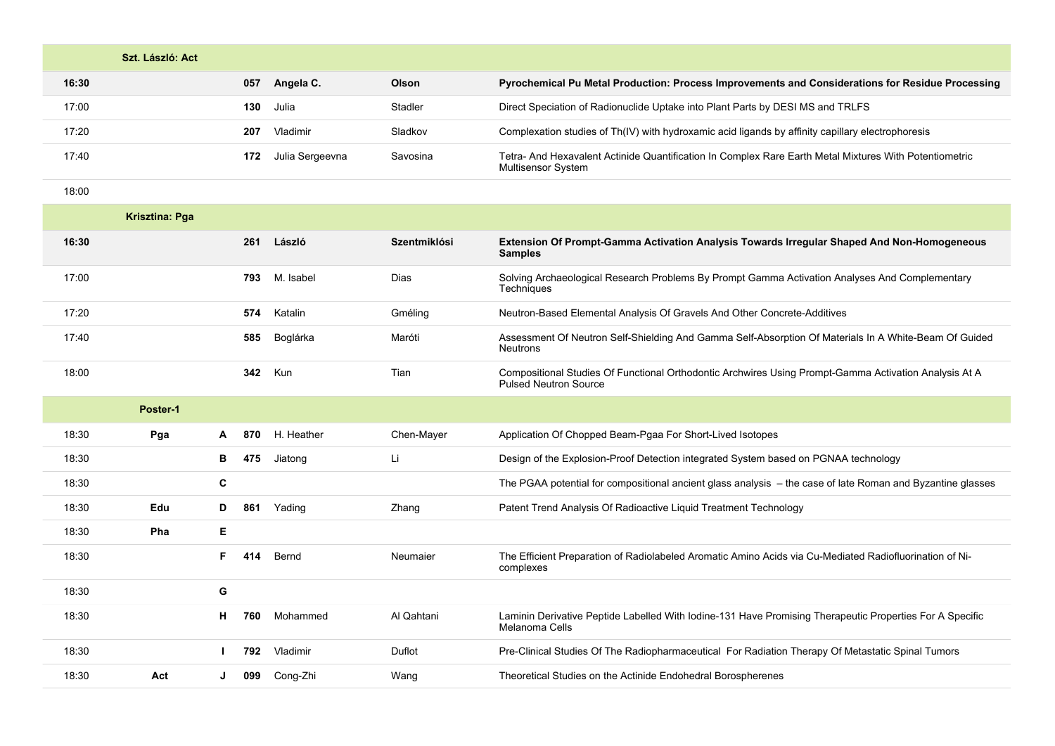| Szt. László: Act |                        |          |                                                                                                                              |
|------------------|------------------------|----------|------------------------------------------------------------------------------------------------------------------------------|
| 16:30            | 057<br>Angela C.       | Olson    | Pyrochemical Pu Metal Production: Process Improvements and Considerations for Residue Processing                             |
| 17:00            | 130<br>Julia           | Stadler  | Direct Speciation of Radionuclide Uptake into Plant Parts by DESI MS and TRLFS                                               |
| 17:20            | Vladimir<br>207        | Sladkov  | Complexation studies of Th(IV) with hydroxamic acid ligands by affinity capillary electrophoresis                            |
| 17:40            | Julia Sergeevna<br>172 | Savosina | Tetra- And Hexavalent Actinide Quantification In Complex Rare Earth Metal Mixtures With Potentiometric<br>Multisensor System |

18:00

|       | <b>Krisztina: Pga</b> |    |     |            |              |                                                                                                                                       |
|-------|-----------------------|----|-----|------------|--------------|---------------------------------------------------------------------------------------------------------------------------------------|
| 16:30 |                       |    | 261 | László     | Szentmiklósi | Extension Of Prompt-Gamma Activation Analysis Towards Irregular Shaped And Non-Homogeneous<br><b>Samples</b>                          |
| 17:00 |                       |    | 793 | M. Isabel  | Dias         | Solving Archaeological Research Problems By Prompt Gamma Activation Analyses And Complementary<br>Techniques                          |
| 17:20 |                       |    | 574 | Katalin    | Gméling      | Neutron-Based Elemental Analysis Of Gravels And Other Concrete-Additives                                                              |
| 17:40 |                       |    | 585 | Boglárka   | Maróti       | Assessment Of Neutron Self-Shielding And Gamma Self-Absorption Of Materials In A White-Beam Of Guided<br>Neutrons                     |
| 18:00 |                       |    | 342 | Kun        | Tian         | Compositional Studies Of Functional Orthodontic Archwires Using Prompt-Gamma Activation Analysis At A<br><b>Pulsed Neutron Source</b> |
|       | Poster-1              |    |     |            |              |                                                                                                                                       |
| 18:30 | Pga                   | A  | 870 | H. Heather | Chen-Mayer   | Application Of Chopped Beam-Pgaa For Short-Lived Isotopes                                                                             |
| 18:30 |                       | в  | 475 | Jiatong    | Li           | Design of the Explosion-Proof Detection integrated System based on PGNAA technology                                                   |
| 18:30 |                       | С  |     |            |              | The PGAA potential for compositional ancient glass analysis - the case of late Roman and Byzantine glasses                            |
| 18:30 | Edu                   | D  | 861 | Yading     | Zhang        | Patent Trend Analysis Of Radioactive Liquid Treatment Technology                                                                      |
| 18:30 | Pha                   | E. |     |            |              |                                                                                                                                       |
| 18:30 |                       | F. | 414 | Bernd      | Neumaier     | The Efficient Preparation of Radiolabeled Aromatic Amino Acids via Cu-Mediated Radiofluorination of Ni-<br>complexes                  |
| 18:30 |                       | G  |     |            |              |                                                                                                                                       |
| 18:30 |                       | н. | 760 | Mohammed   | Al Qahtani   | Laminin Derivative Peptide Labelled With Iodine-131 Have Promising Therapeutic Properties For A Specific<br>Melanoma Cells            |
| 18:30 |                       |    | 792 | Vladimir   | Duflot       | Pre-Clinical Studies Of The Radiopharmaceutical For Radiation Therapy Of Metastatic Spinal Tumors                                     |
| 18:30 | Act                   | J  | 099 | Cong-Zhi   | Wang         | Theoretical Studies on the Actinide Endohedral Borospherenes                                                                          |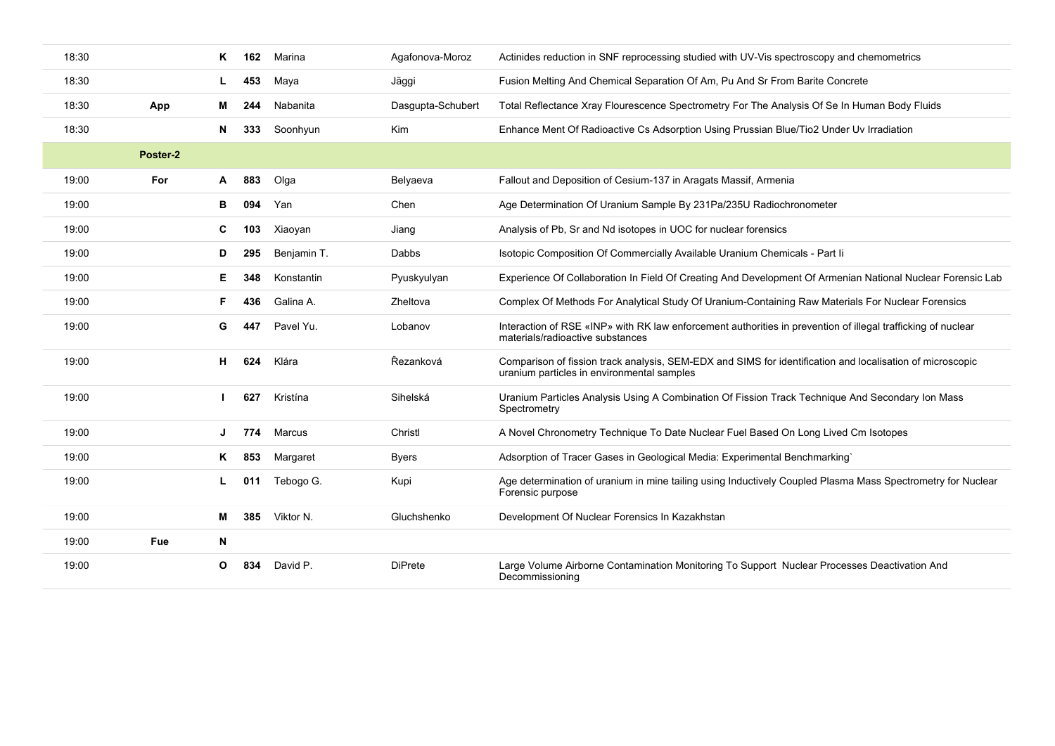| 18:30 |          | ĸ  | 162 | Marina      | Agafonova-Moroz   | Actinides reduction in SNF reprocessing studied with UV-Vis spectroscopy and chemometrics                                                               |
|-------|----------|----|-----|-------------|-------------------|---------------------------------------------------------------------------------------------------------------------------------------------------------|
| 18:30 |          |    | 453 | Maya        | Jäggi             | Fusion Melting And Chemical Separation Of Am, Pu And Sr From Barite Concrete                                                                            |
| 18:30 | App      | м  | 244 | Nabanita    | Dasgupta-Schubert | Total Reflectance Xray Flourescence Spectrometry For The Analysis Of Se In Human Body Fluids                                                            |
| 18:30 |          | N  | 333 | Soonhyun    | <b>Kim</b>        | Enhance Ment Of Radioactive Cs Adsorption Using Prussian Blue/Tio2 Under Uv Irradiation                                                                 |
|       | Poster-2 |    |     |             |                   |                                                                                                                                                         |
| 19:00 | For      | A  | 883 | Olga        | Belyaeva          | Fallout and Deposition of Cesium-137 in Aragats Massif, Armenia                                                                                         |
| 19:00 |          | в  | 094 | Yan         | Chen              | Age Determination Of Uranium Sample By 231Pa/235U Radiochronometer                                                                                      |
| 19:00 |          | C  | 103 | Xiaoyan     | Jiang             | Analysis of Pb, Sr and Nd isotopes in UOC for nuclear forensics                                                                                         |
| 19:00 |          | D  | 295 | Benjamin T. | Dabbs             | Isotopic Composition Of Commercially Available Uranium Chemicals - Part li                                                                              |
| 19:00 |          | Е. | 348 | Konstantin  | Pyuskyulyan       | Experience Of Collaboration In Field Of Creating And Development Of Armenian National Nuclear Forensic Lab                                              |
| 19:00 |          | F  | 436 | Galina A.   | Zheltova          | Complex Of Methods For Analytical Study Of Uranium-Containing Raw Materials For Nuclear Forensics                                                       |
| 19:00 |          | G  | 447 | Pavel Yu.   | Lobanov           | Interaction of RSE «INP» with RK law enforcement authorities in prevention of illegal trafficking of nuclear<br>materials/radioactive substances        |
| 19:00 |          | н  | 624 | Klára       | Řezanková         | Comparison of fission track analysis, SEM-EDX and SIMS for identification and localisation of microscopic<br>uranium particles in environmental samples |
| 19:00 |          |    | 627 | Kristína    | Sihelská          | Uranium Particles Analysis Using A Combination Of Fission Track Technique And Secondary Ion Mass<br>Spectrometry                                        |
| 19:00 |          | J  | 774 | Marcus      | Christl           | A Novel Chronometry Technique To Date Nuclear Fuel Based On Long Lived Cm Isotopes                                                                      |
| 19:00 |          | ĸ  | 853 | Margaret    | <b>Byers</b>      | Adsorption of Tracer Gases in Geological Media: Experimental Benchmarking`                                                                              |
| 19:00 |          |    | 011 | Tebogo G.   | Kupi              | Age determination of uranium in mine tailing using Inductively Coupled Plasma Mass Spectrometry for Nuclear<br>Forensic purpose                         |
| 19:00 |          | м  | 385 | Viktor N.   | Gluchshenko       | Development Of Nuclear Forensics In Kazakhstan                                                                                                          |
| 19:00 | Fue      | N  |     |             |                   |                                                                                                                                                         |
| 19:00 |          | O  | 834 | David P.    | <b>DiPrete</b>    | Large Volume Airborne Contamination Monitoring To Support Nuclear Processes Deactivation And<br>Decommissioning                                         |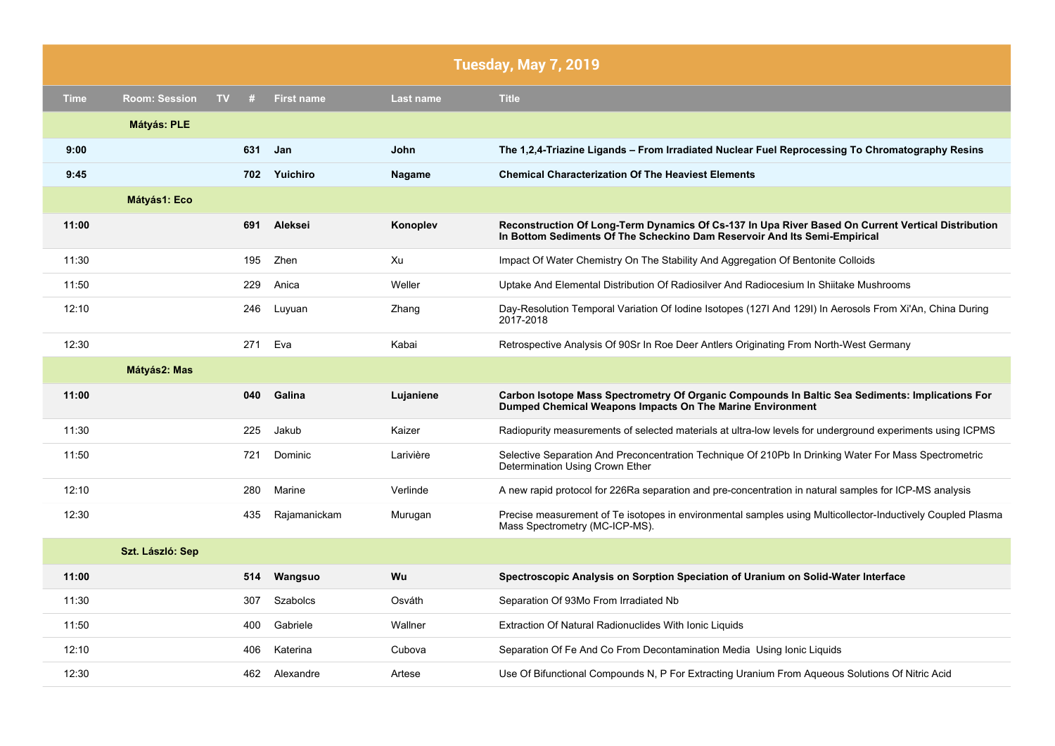|             |                      |         |                   |               | <b>Tuesday, May 7, 2019</b>                                                                                                                                                     |
|-------------|----------------------|---------|-------------------|---------------|---------------------------------------------------------------------------------------------------------------------------------------------------------------------------------|
| <b>Time</b> | <b>Room: Session</b> | TV<br># | <b>First name</b> | Last name     | <b>Title</b>                                                                                                                                                                    |
|             | <b>Mátyás: PLE</b>   |         |                   |               |                                                                                                                                                                                 |
| 9:00        |                      | 631     | Jan               | John          | The 1,2,4-Triazine Ligands – From Irradiated Nuclear Fuel Reprocessing To Chromatography Resins                                                                                 |
| 9:45        |                      |         | 702 Yuichiro      | <b>Nagame</b> | <b>Chemical Characterization Of The Heaviest Elements</b>                                                                                                                       |
|             | Mátyás1: Eco         |         |                   |               |                                                                                                                                                                                 |
| 11:00       |                      | 691     | Aleksei           | Konoplev      | Reconstruction Of Long-Term Dynamics Of Cs-137 In Upa River Based On Current Vertical Distribution<br>In Bottom Sediments Of The Scheckino Dam Reservoir And Its Semi-Empirical |
| 11:30       |                      | 195     | Zhen              | Xu            | Impact Of Water Chemistry On The Stability And Aggregation Of Bentonite Colloids                                                                                                |
| 11:50       |                      | 229     | Anica             | Weller        | Uptake And Elemental Distribution Of Radiosilver And Radiocesium In Shiitake Mushrooms                                                                                          |
| 12:10       |                      | 246     | Luyuan            | Zhang         | Day-Resolution Temporal Variation Of Iodine Isotopes (127I And 129I) In Aerosols From Xi'An, China During<br>2017-2018                                                          |
| 12:30       |                      | 271     | Eva               | Kabai         | Retrospective Analysis Of 90Sr In Roe Deer Antlers Originating From North-West Germany                                                                                          |
|             | Mátyás2: Mas         |         |                   |               |                                                                                                                                                                                 |
| 11:00       |                      | 040     | Galina            | Lujaniene     | Carbon Isotope Mass Spectrometry Of Organic Compounds In Baltic Sea Sediments: Implications For<br>Dumped Chemical Weapons Impacts On The Marine Environment                    |
| 11:30       |                      | 225     | Jakub             | Kaizer        | Radiopurity measurements of selected materials at ultra-low levels for underground experiments using ICPMS                                                                      |
| 11:50       |                      | 721     | Dominic           | Larivière     | Selective Separation And Preconcentration Technique Of 210Pb In Drinking Water For Mass Spectrometric<br>Determination Using Crown Ether                                        |
| 12:10       |                      | 280     | Marine            | Verlinde      | A new rapid protocol for 226Ra separation and pre-concentration in natural samples for ICP-MS analysis                                                                          |
| 12:30       |                      | 435     | Rajamanickam      | Murugan       | Precise measurement of Te isotopes in environmental samples using Multicollector-Inductively Coupled Plasma<br>Mass Spectrometry (MC-ICP-MS).                                   |
|             | Szt. László: Sep     |         |                   |               |                                                                                                                                                                                 |
| 11:00       |                      | 514     | Wangsuo           | Wu            | Spectroscopic Analysis on Sorption Speciation of Uranium on Solid-Water Interface                                                                                               |
| 11:30       |                      | 307     | Szabolcs          | Osváth        | Separation Of 93Mo From Irradiated Nb                                                                                                                                           |
| 11:50       |                      | 400     | Gabriele          | Wallner       | Extraction Of Natural Radionuclides With Ionic Liquids                                                                                                                          |
| 12:10       |                      | 406     | Katerina          | Cubova        | Separation Of Fe And Co From Decontamination Media Using Ionic Liquids                                                                                                          |
| 12:30       |                      | 462     | Alexandre         | Artese        | Use Of Bifunctional Compounds N, P For Extracting Uranium From Aqueous Solutions Of Nitric Acid                                                                                 |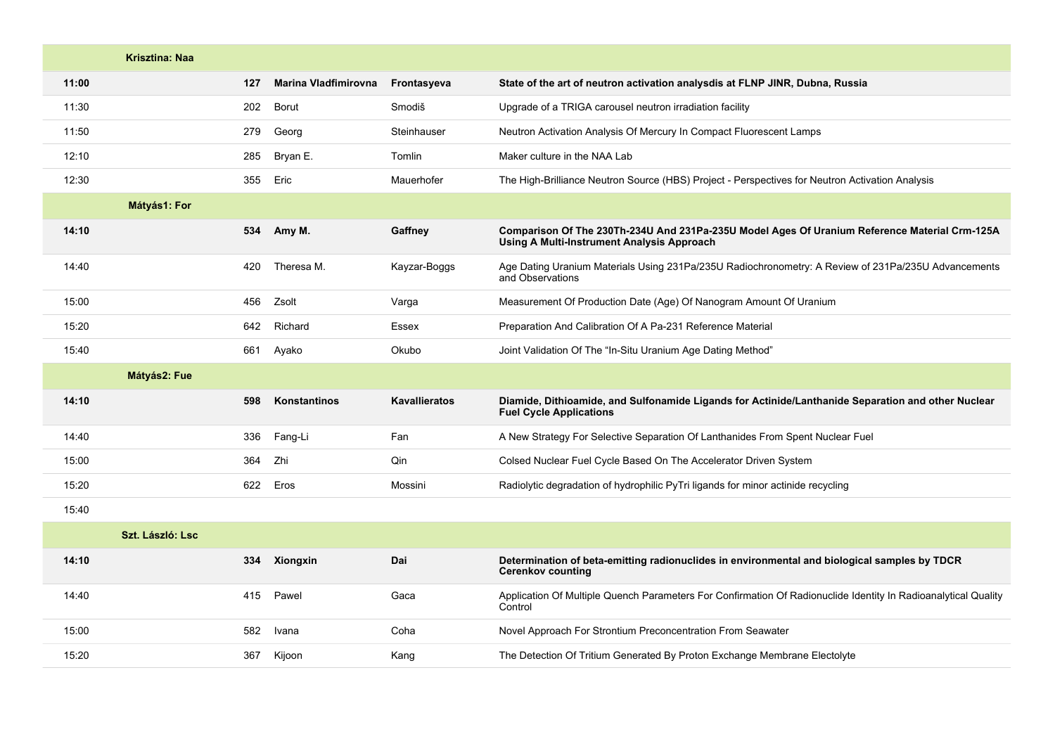|       | <b>Krisztina: Naa</b> |     |                             |                      |                                                                                                                                                    |
|-------|-----------------------|-----|-----------------------------|----------------------|----------------------------------------------------------------------------------------------------------------------------------------------------|
| 11:00 |                       | 127 | <b>Marina Vladfimirovna</b> | Frontasyeva          | State of the art of neutron activation analysdis at FLNP JINR, Dubna, Russia                                                                       |
| 11:30 |                       | 202 | Borut                       | Smodiš               | Upgrade of a TRIGA carousel neutron irradiation facility                                                                                           |
| 11:50 |                       | 279 | Georg                       | Steinhauser          | Neutron Activation Analysis Of Mercury In Compact Fluorescent Lamps                                                                                |
| 12:10 |                       | 285 | Bryan E.                    | Tomlin               | Maker culture in the NAA Lab                                                                                                                       |
| 12:30 |                       | 355 | Eric                        | Mauerhofer           | The High-Brilliance Neutron Source (HBS) Project - Perspectives for Neutron Activation Analysis                                                    |
|       | Mátyás1: For          |     |                             |                      |                                                                                                                                                    |
| 14:10 |                       | 534 | Amy M.                      | Gaffney              | Comparison Of The 230Th-234U And 231Pa-235U Model Ages Of Uranium Reference Material Crm-125A<br><b>Using A Multi-Instrument Analysis Approach</b> |
| 14:40 |                       | 420 | Theresa M.                  | Kayzar-Boggs         | Age Dating Uranium Materials Using 231Pa/235U Radiochronometry: A Review of 231Pa/235U Advancements<br>and Observations                            |
| 15:00 |                       | 456 | Zsolt                       | Varga                | Measurement Of Production Date (Age) Of Nanogram Amount Of Uranium                                                                                 |
| 15:20 |                       | 642 | Richard                     | Essex                | Preparation And Calibration Of A Pa-231 Reference Material                                                                                         |
| 15:40 |                       | 661 | Ayako                       | Okubo                | Joint Validation Of The "In-Situ Uranium Age Dating Method"                                                                                        |
|       | Mátyás2: Fue          |     |                             |                      |                                                                                                                                                    |
| 14:10 |                       | 598 | Konstantinos                | <b>Kavallieratos</b> | Diamide, Dithioamide, and Sulfonamide Ligands for Actinide/Lanthanide Separation and other Nuclear<br><b>Fuel Cycle Applications</b>               |
| 14:40 |                       | 336 | Fang-Li                     | Fan                  | A New Strategy For Selective Separation Of Lanthanides From Spent Nuclear Fuel                                                                     |
| 15:00 |                       | 364 | Zhi                         | Qin                  | Colsed Nuclear Fuel Cycle Based On The Accelerator Driven System                                                                                   |
| 15:20 |                       | 622 | Eros                        | Mossini              | Radiolytic degradation of hydrophilic PyTri ligands for minor actinide recycling                                                                   |
| 15:40 |                       |     |                             |                      |                                                                                                                                                    |
|       | Szt. László: Lsc      |     |                             |                      |                                                                                                                                                    |
| 14:10 |                       | 334 | <b>Xiongxin</b>             | Dai                  | Determination of beta-emitting radionuclides in environmental and biological samples by TDCR<br><b>Cerenkov counting</b>                           |
| 14:40 |                       | 415 | Pawel                       | Gaca                 | Application Of Multiple Quench Parameters For Confirmation Of Radionuclide Identity In Radioanalytical Quality<br>Control                          |
| 15:00 |                       | 582 | Ivana                       | Coha                 | Novel Approach For Strontium Preconcentration From Seawater                                                                                        |
| 15:20 |                       | 367 | Kijoon                      | Kang                 | The Detection Of Tritium Generated By Proton Exchange Membrane Electolyte                                                                          |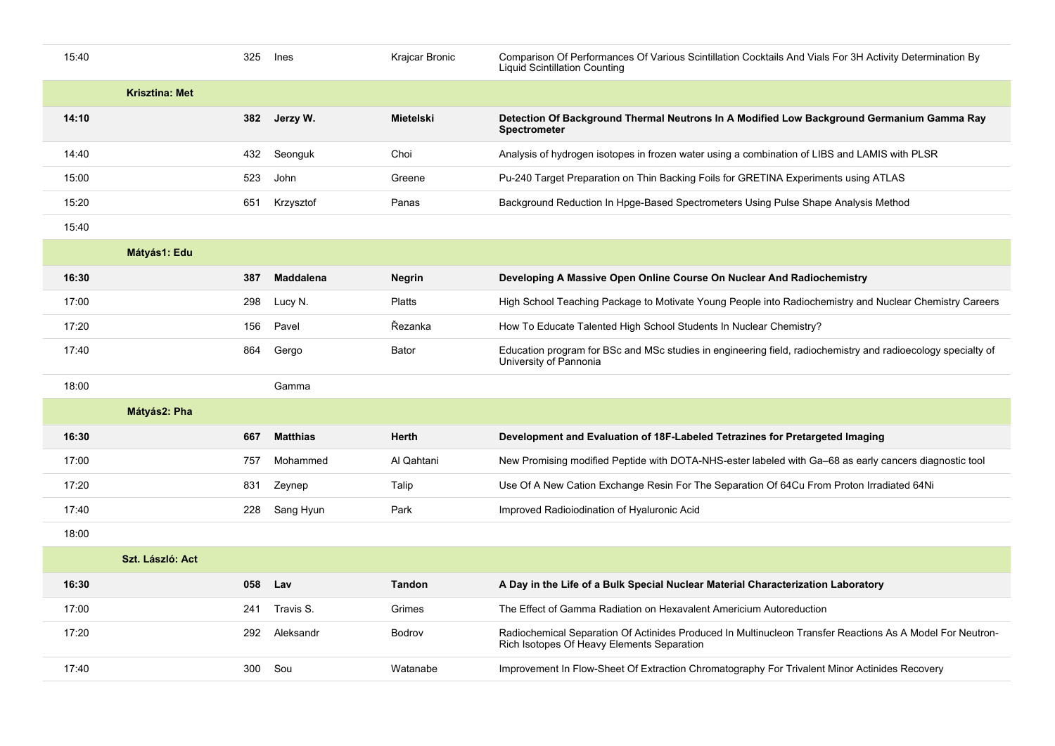| 15:40 |                       | 325 | Ines             | Krajcar Bronic   | Comparison Of Performances Of Various Scintillation Cocktails And Vials For 3H Activity Determination By<br><b>Liquid Scintillation Counting</b>        |
|-------|-----------------------|-----|------------------|------------------|---------------------------------------------------------------------------------------------------------------------------------------------------------|
|       | <b>Krisztina: Met</b> |     |                  |                  |                                                                                                                                                         |
| 14:10 |                       | 382 | Jerzy W.         | <b>Mietelski</b> | Detection Of Background Thermal Neutrons In A Modified Low Background Germanium Gamma Ray<br><b>Spectrometer</b>                                        |
| 14:40 |                       | 432 | Seonguk          | Choi             | Analysis of hydrogen isotopes in frozen water using a combination of LIBS and LAMIS with PLSR                                                           |
| 15:00 |                       | 523 | John             | Greene           | Pu-240 Target Preparation on Thin Backing Foils for GRETINA Experiments using ATLAS                                                                     |
| 15:20 |                       | 651 | Krzysztof        | Panas            | Background Reduction In Hpge-Based Spectrometers Using Pulse Shape Analysis Method                                                                      |
| 15:40 |                       |     |                  |                  |                                                                                                                                                         |
|       | Mátyás1: Edu          |     |                  |                  |                                                                                                                                                         |
| 16:30 |                       | 387 | <b>Maddalena</b> | <b>Negrin</b>    | Developing A Massive Open Online Course On Nuclear And Radiochemistry                                                                                   |
| 17:00 |                       | 298 | Lucy N.          | <b>Platts</b>    | High School Teaching Package to Motivate Young People into Radiochemistry and Nuclear Chemistry Careers                                                 |
| 17:20 |                       | 156 | Pavel            | Řezanka          | How To Educate Talented High School Students In Nuclear Chemistry?                                                                                      |
| 17:40 |                       | 864 | Gergo            | Bator            | Education program for BSc and MSc studies in engineering field, radiochemistry and radioecology specialty of<br>University of Pannonia                  |
| 18:00 |                       |     | Gamma            |                  |                                                                                                                                                         |
|       | Mátyás2: Pha          |     |                  |                  |                                                                                                                                                         |
| 16:30 |                       | 667 | <b>Matthias</b>  | Herth            | Development and Evaluation of 18F-Labeled Tetrazines for Pretargeted Imaging                                                                            |
| 17:00 |                       | 757 | Mohammed         | Al Qahtani       | New Promising modified Peptide with DOTA-NHS-ester labeled with Ga–68 as early cancers diagnostic tool                                                  |
| 17:20 |                       | 831 | Zeynep           | Talip            | Use Of A New Cation Exchange Resin For The Separation Of 64Cu From Proton Irradiated 64Ni                                                               |
| 17:40 |                       | 228 | Sang Hyun        | Park             | Improved Radioiodination of Hyaluronic Acid                                                                                                             |
| 18:00 |                       |     |                  |                  |                                                                                                                                                         |
|       | Szt. László: Act      |     |                  |                  |                                                                                                                                                         |
| 16:30 |                       | 058 | Lav              | <b>Tandon</b>    | A Day in the Life of a Bulk Special Nuclear Material Characterization Laboratory                                                                        |
| 17:00 |                       | 241 | Travis S.        | Grimes           | The Effect of Gamma Radiation on Hexavalent Americium Autoreduction                                                                                     |
| 17:20 |                       | 292 | Aleksandr        | Bodrov           | Radiochemical Separation Of Actinides Produced In Multinucleon Transfer Reactions As A Model For Neutron-<br>Rich Isotopes Of Heavy Elements Separation |
| 17:40 |                       | 300 | Sou              | Watanabe         | Improvement In Flow-Sheet Of Extraction Chromatography For Trivalent Minor Actinides Recovery                                                           |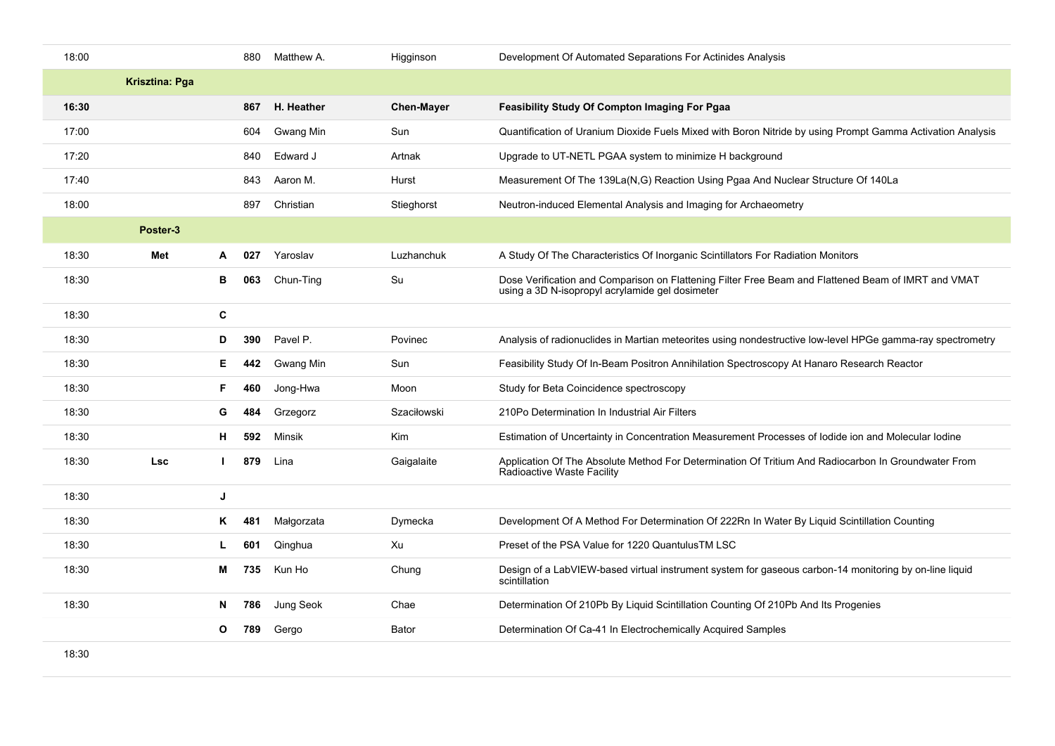| 18:00 |                       |              | 880 | Matthew A. | Higginson         | Development Of Automated Separations For Actinides Analysis                                                                                            |
|-------|-----------------------|--------------|-----|------------|-------------------|--------------------------------------------------------------------------------------------------------------------------------------------------------|
|       | <b>Krisztina: Pga</b> |              |     |            |                   |                                                                                                                                                        |
| 16:30 |                       |              | 867 | H. Heather | <b>Chen-Mayer</b> | <b>Feasibility Study Of Compton Imaging For Pgaa</b>                                                                                                   |
| 17:00 |                       |              | 604 | Gwang Min  | Sun               | Quantification of Uranium Dioxide Fuels Mixed with Boron Nitride by using Prompt Gamma Activation Analysis                                             |
| 17:20 |                       |              | 840 | Edward J   | Artnak            | Upgrade to UT-NETL PGAA system to minimize H background                                                                                                |
| 17:40 |                       |              | 843 | Aaron M.   | Hurst             | Measurement Of The 139La(N,G) Reaction Using Pgaa And Nuclear Structure Of 140La                                                                       |
| 18:00 |                       |              | 897 | Christian  | Stieghorst        | Neutron-induced Elemental Analysis and Imaging for Archaeometry                                                                                        |
|       | Poster-3              |              |     |            |                   |                                                                                                                                                        |
| 18:30 | Met                   | A            | 027 | Yaroslav   | Luzhanchuk        | A Study Of The Characteristics Of Inorganic Scintillators For Radiation Monitors                                                                       |
| 18:30 |                       | в            | 063 | Chun-Ting  | Su                | Dose Verification and Comparison on Flattening Filter Free Beam and Flattened Beam of IMRT and VMAT<br>using a 3D N-isopropyl acrylamide gel dosimeter |
| 18:30 |                       | С            |     |            |                   |                                                                                                                                                        |
| 18:30 |                       | D            | 390 | Pavel P.   | Povinec           | Analysis of radionuclides in Martian meteorites using nondestructive low-level HPGe gamma-ray spectrometry                                             |
| 18:30 |                       | Е.           | 442 | Gwang Min  | Sun               | Feasibility Study Of In-Beam Positron Annihilation Spectroscopy At Hanaro Research Reactor                                                             |
| 18:30 |                       | F            | 460 | Jong-Hwa   | Moon              | Study for Beta Coincidence spectroscopy                                                                                                                |
| 18:30 |                       | G            | 484 | Grzegorz   | Szaciłowski       | 210Po Determination In Industrial Air Filters                                                                                                          |
| 18:30 |                       | н            | 592 | Minsik     | <b>Kim</b>        | Estimation of Uncertainty in Concentration Measurement Processes of lodide ion and Molecular lodine                                                    |
| 18:30 | <b>Lsc</b>            | $\mathbf{L}$ | 879 | Lina       | Gaigalaite        | Application Of The Absolute Method For Determination Of Tritium And Radiocarbon In Groundwater From<br>Radioactive Waste Facility                      |
| 18:30 |                       | J            |     |            |                   |                                                                                                                                                        |
| 18:30 |                       | Κ            | 481 | Małgorzata | Dymecka           | Development Of A Method For Determination Of 222Rn In Water By Liquid Scintillation Counting                                                           |
| 18:30 |                       |              | 601 | Qinghua    | Xu                | Preset of the PSA Value for 1220 Quantulus TM LSC                                                                                                      |
| 18:30 |                       | М            | 735 | Kun Ho     | Chung             | Design of a LabVIEW-based virtual instrument system for gaseous carbon-14 monitoring by on-line liquid<br>scintillation                                |
| 18:30 |                       | N            | 786 | Jung Seok  | Chae              | Determination Of 210Pb By Liquid Scintillation Counting Of 210Pb And Its Progenies                                                                     |
|       |                       | O            | 789 | Gergo      | <b>Bator</b>      | Determination Of Ca-41 In Electrochemically Acquired Samples                                                                                           |
| 18:30 |                       |              |     |            |                   |                                                                                                                                                        |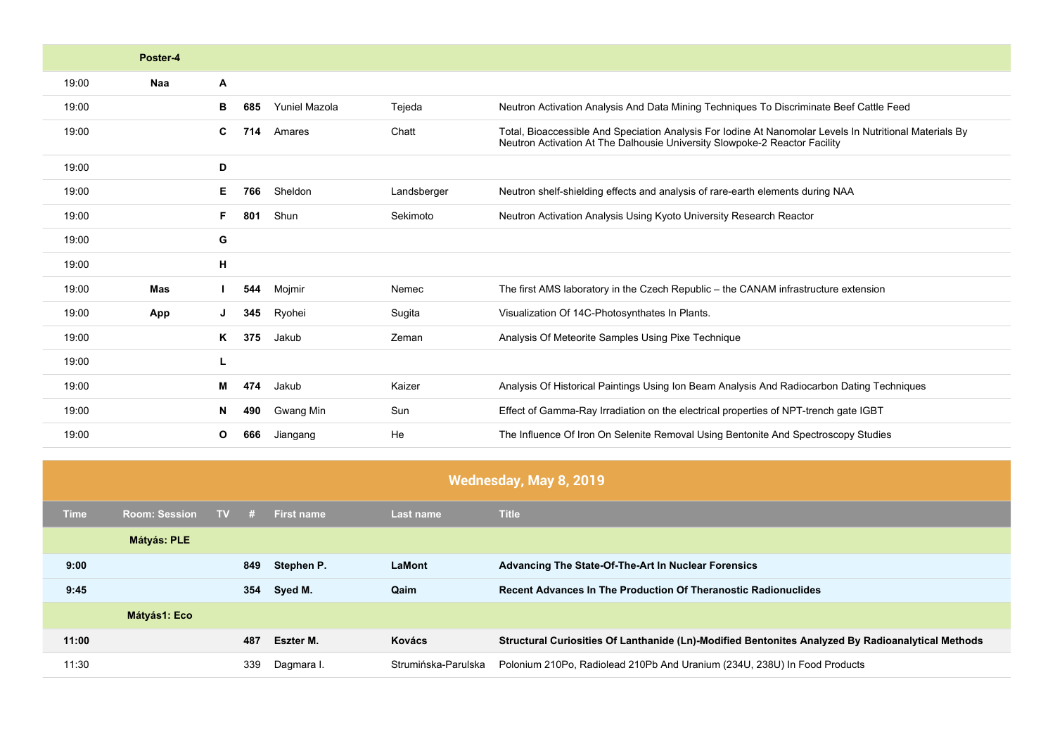|       | Poster-4   |                                  |             |                                                                                                                                                                                       |
|-------|------------|----------------------------------|-------------|---------------------------------------------------------------------------------------------------------------------------------------------------------------------------------------|
| 19:00 | Naa        | A                                |             |                                                                                                                                                                                       |
| 19:00 |            | <b>Yuniel Mazola</b><br>в<br>685 | Tejeda      | Neutron Activation Analysis And Data Mining Techniques To Discriminate Beef Cattle Feed                                                                                               |
| 19:00 |            | C.<br>714<br>Amares              | Chatt       | Total, Bioaccessible And Speciation Analysis For Iodine At Nanomolar Levels In Nutritional Materials By<br>Neutron Activation At The Dalhousie University Slowpoke-2 Reactor Facility |
| 19:00 |            | D                                |             |                                                                                                                                                                                       |
| 19:00 |            | Sheldon<br>E.<br>766             | Landsberger | Neutron shelf-shielding effects and analysis of rare-earth elements during NAA                                                                                                        |
| 19:00 |            | F.<br>801<br>Shun                | Sekimoto    | Neutron Activation Analysis Using Kyoto University Research Reactor                                                                                                                   |
| 19:00 |            | G                                |             |                                                                                                                                                                                       |
| 19:00 |            | н                                |             |                                                                                                                                                                                       |
| 19:00 | <b>Mas</b> | 544<br>Mojmir                    | Nemec       | The first AMS laboratory in the Czech Republic – the CANAM infrastructure extension                                                                                                   |
| 19:00 | App        | 345<br>Ryohei                    | Sugita      | Visualization Of 14C-Photosynthates In Plants.                                                                                                                                        |
| 19:00 |            | K<br>375<br>Jakub                | Zeman       | Analysis Of Meteorite Samples Using Pixe Technique                                                                                                                                    |
| 19:00 |            | L                                |             |                                                                                                                                                                                       |
| 19:00 |            | 474<br>Jakub<br>м                | Kaizer      | Analysis Of Historical Paintings Using Ion Beam Analysis And Radiocarbon Dating Techniques                                                                                            |
| 19:00 |            | Gwang Min<br>490<br>N            | Sun         | Effect of Gamma-Ray Irradiation on the electrical properties of NPT-trench gate IGBT                                                                                                  |
| 19:00 |            | 666<br>O<br>Jiangang             | He          | The Influence Of Iron On Selenite Removal Using Bentonite And Spectroscopy Studies                                                                                                    |

|       | Wednesday, May 8, 2019 |           |        |            |                     |                                                                                                   |  |  |  |
|-------|------------------------|-----------|--------|------------|---------------------|---------------------------------------------------------------------------------------------------|--|--|--|
| Time  | <b>Room: Session</b>   | <b>TV</b> | - 12 - | First name | <b>Last name</b>    | <b>Title</b>                                                                                      |  |  |  |
|       | <b>Mátyás: PLE</b>     |           |        |            |                     |                                                                                                   |  |  |  |
| 9:00  |                        |           | 849    | Stephen P. | <b>LaMont</b>       | Advancing The State-Of-The-Art In Nuclear Forensics                                               |  |  |  |
| 9:45  |                        |           | 354    | Syed M.    | Qaim                | <b>Recent Advances In The Production Of Theranostic Radionuclides</b>                             |  |  |  |
|       | Mátyás1: Eco           |           |        |            |                     |                                                                                                   |  |  |  |
| 11:00 |                        |           | 487    | Eszter M.  | Kovács              | Structural Curiosities Of Lanthanide (Ln)-Modified Bentonites Analyzed By Radioanalytical Methods |  |  |  |
| 11:30 |                        |           | 339    | Dagmara I. | Strumińska-Parulska | Polonium 210Po, Radiolead 210Pb And Uranium (234U, 238U) In Food Products                         |  |  |  |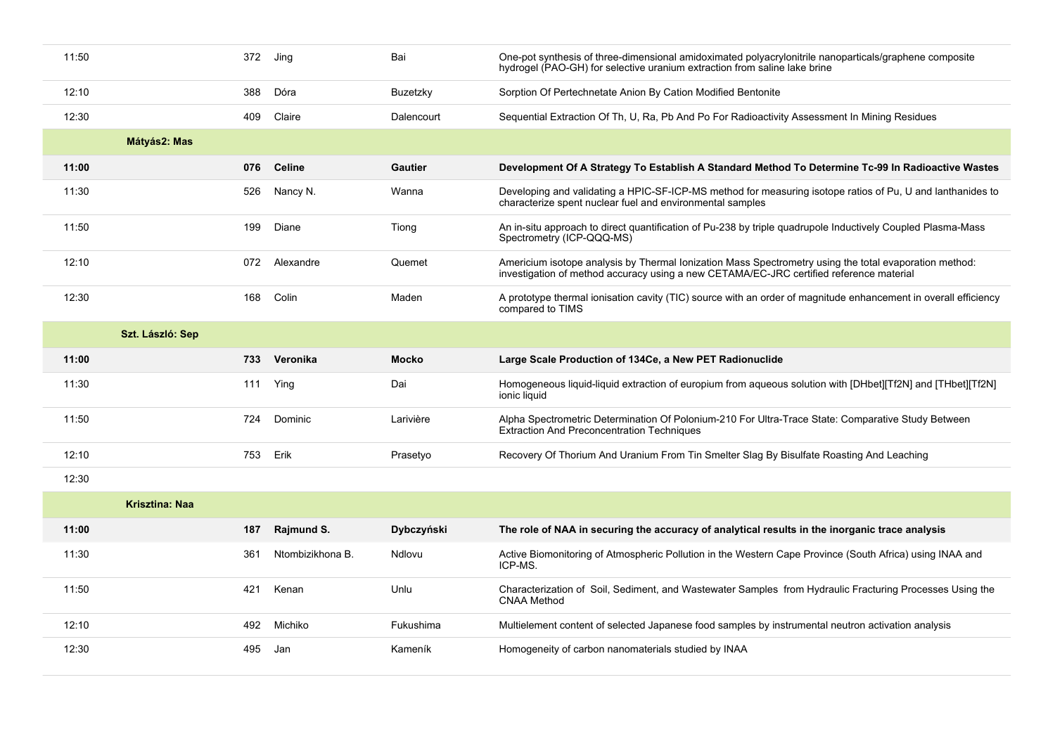| 11:50 |                  | 372 | Jing          | Bai            | One-pot synthesis of three-dimensional amidoximated polyacrylonitrile nanoparticals/graphene composite<br>hydrogel (PAO-GH) for selective uranium extraction from saline lake brine               |
|-------|------------------|-----|---------------|----------------|---------------------------------------------------------------------------------------------------------------------------------------------------------------------------------------------------|
| 12:10 |                  | 388 | Dóra          | Buzetzky       | Sorption Of Pertechnetate Anion By Cation Modified Bentonite                                                                                                                                      |
| 12:30 |                  | 409 | Claire        | Dalencourt     | Sequential Extraction Of Th, U, Ra, Pb And Po For Radioactivity Assessment In Mining Residues                                                                                                     |
|       | Mátyás2: Mas     |     |               |                |                                                                                                                                                                                                   |
| 11:00 |                  | 076 | <b>Celine</b> | <b>Gautier</b> | Development Of A Strategy To Establish A Standard Method To Determine Tc-99 In Radioactive Wastes                                                                                                 |
| 11:30 |                  | 526 | Nancy N.      | Wanna          | Developing and validating a HPIC-SF-ICP-MS method for measuring isotope ratios of Pu, U and lanthanides to<br>characterize spent nuclear fuel and environmental samples                           |
| 11:50 |                  | 199 | Diane         | Tiong          | An in-situ approach to direct quantification of Pu-238 by triple quadrupole Inductively Coupled Plasma-Mass<br>Spectrometry (ICP-QQQ-MS)                                                          |
| 12:10 |                  | 072 | Alexandre     | Quemet         | Americium isotope analysis by Thermal Ionization Mass Spectrometry using the total evaporation method:<br>investigation of method accuracy using a new CETAMA/EC-JRC certified reference material |
| 12:30 |                  | 168 | Colin         | Maden          | A prototype thermal ionisation cavity (TIC) source with an order of magnitude enhancement in overall efficiency<br>compared to TIMS                                                               |
|       | Szt. László: Sep |     |               |                |                                                                                                                                                                                                   |
| 11:00 |                  | 733 | Veronika      | <b>Mocko</b>   | Large Scale Production of 134Ce, a New PET Radionuclide                                                                                                                                           |
| 11:30 |                  | 111 | Ying          | Dai            | Homogeneous liquid-liquid extraction of europium from aqueous solution with [DHbet][Tf2N] and [THbet][Tf2N]<br>ionic liquid                                                                       |
| 11:50 |                  | 724 | Dominic       | Larivière      | Alpha Spectrometric Determination Of Polonium-210 For Ultra-Trace State: Comparative Study Between<br><b>Extraction And Preconcentration Techniques</b>                                           |
| 12:10 |                  | 753 | Erik          | Prasetyo       | Recovery Of Thorium And Uranium From Tin Smelter Slag By Bisulfate Roasting And Leaching                                                                                                          |
| 12:30 |                  |     |               |                |                                                                                                                                                                                                   |

|       | Krisztina: Naa |                  |            |                                                                                                                         |
|-------|----------------|------------------|------------|-------------------------------------------------------------------------------------------------------------------------|
| 11:00 | 187            | Rajmund S.       | Dybczyński | The role of NAA in securing the accuracy of analytical results in the inorganic trace analysis                          |
| 11:30 | 361            | Ntombizikhona B. | Ndlovu     | Active Biomonitoring of Atmospheric Pollution in the Western Cape Province (South Africa) using INAA and<br>ICP-MS.     |
| 11:50 | 421            | Kenan            | Unlu       | Characterization of Soil, Sediment, and Wastewater Samples from Hydraulic Fracturing Processes Using the<br>CNAA Method |
| 12:10 | 492            | Michiko          | Fukushima  | Multielement content of selected Japanese food samples by instrumental neutron activation analysis                      |
| 12:30 | 495            | Jan              | Kameník    | Homogeneity of carbon nanomaterials studied by INAA                                                                     |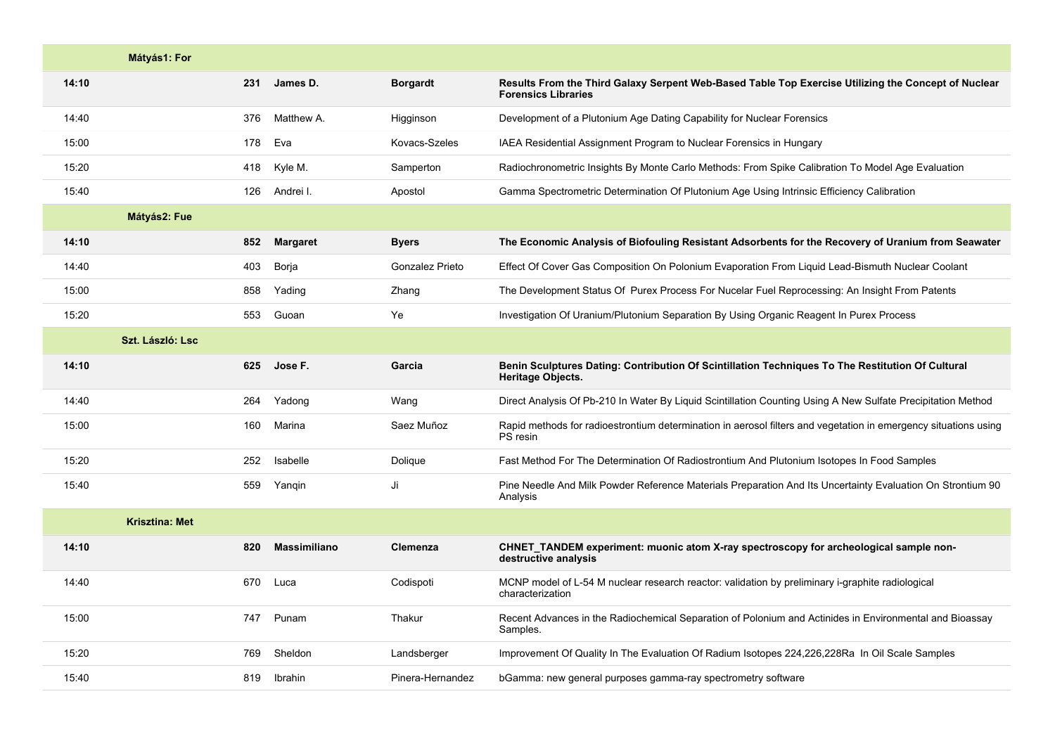|       | Mátyás1: For          |     |                     |                  |                                                                                                                                   |
|-------|-----------------------|-----|---------------------|------------------|-----------------------------------------------------------------------------------------------------------------------------------|
| 14:10 |                       | 231 | James D.            | <b>Borgardt</b>  | Results From the Third Galaxy Serpent Web-Based Table Top Exercise Utilizing the Concept of Nuclear<br><b>Forensics Libraries</b> |
| 14:40 |                       | 376 | Matthew A.          | Higginson        | Development of a Plutonium Age Dating Capability for Nuclear Forensics                                                            |
| 15:00 |                       | 178 | Eva                 | Kovacs-Szeles    | IAEA Residential Assignment Program to Nuclear Forensics in Hungary                                                               |
| 15:20 |                       | 418 | Kyle M.             | Samperton        | Radiochronometric Insights By Monte Carlo Methods: From Spike Calibration To Model Age Evaluation                                 |
| 15:40 |                       | 126 | Andrei I.           | Apostol          | Gamma Spectrometric Determination Of Plutonium Age Using Intrinsic Efficiency Calibration                                         |
|       | Mátyás2: Fue          |     |                     |                  |                                                                                                                                   |
| 14:10 |                       | 852 | <b>Margaret</b>     | <b>Byers</b>     | The Economic Analysis of Biofouling Resistant Adsorbents for the Recovery of Uranium from Seawater                                |
| 14:40 |                       | 403 | Borja               | Gonzalez Prieto  | Effect Of Cover Gas Composition On Polonium Evaporation From Liquid Lead-Bismuth Nuclear Coolant                                  |
| 15:00 |                       | 858 | Yading              | Zhang            | The Development Status Of Purex Process For Nucelar Fuel Reprocessing: An Insight From Patents                                    |
| 15:20 |                       | 553 | Guoan               | Ye               | Investigation Of Uranium/Plutonium Separation By Using Organic Reagent In Purex Process                                           |
|       | Szt. László: Lsc      |     |                     |                  |                                                                                                                                   |
| 14:10 |                       | 625 | Jose F.             | Garcia           | Benin Sculptures Dating: Contribution Of Scintillation Techniques To The Restitution Of Cultural<br>Heritage Objects.             |
| 14:40 |                       | 264 | Yadong              | Wang             | Direct Analysis Of Pb-210 In Water By Liquid Scintillation Counting Using A New Sulfate Precipitation Method                      |
| 15:00 |                       | 160 | Marina              | Saez Muñoz       | Rapid methods for radioestrontium determination in aerosol filters and vegetation in emergency situations using<br>PS resin       |
| 15:20 |                       | 252 | Isabelle            | Dolique          | Fast Method For The Determination Of Radiostrontium And Plutonium Isotopes In Food Samples                                        |
| 15:40 |                       | 559 | Yangin              | Ji               | Pine Needle And Milk Powder Reference Materials Preparation And Its Uncertainty Evaluation On Strontium 90<br>Analysis            |
|       | <b>Krisztina: Met</b> |     |                     |                  |                                                                                                                                   |
| 14:10 |                       | 820 | <b>Massimiliano</b> | Clemenza         | CHNET_TANDEM experiment: muonic atom X-ray spectroscopy for archeological sample non-<br>destructive analysis                     |
| 14:40 |                       | 670 | Luca                | Codispoti        | MCNP model of L-54 M nuclear research reactor: validation by preliminary i-graphite radiological<br>characterization              |
| 15:00 |                       | 747 | Punam               | Thakur           | Recent Advances in the Radiochemical Separation of Polonium and Actinides in Environmental and Bioassay<br>Samples.               |
| 15:20 |                       | 769 | Sheldon             | Landsberger      | Improvement Of Quality In The Evaluation Of Radium Isotopes 224,226,228Ra In Oil Scale Samples                                    |
| 15:40 |                       | 819 | Ibrahin             | Pinera-Hernandez | bGamma: new general purposes gamma-ray spectrometry software                                                                      |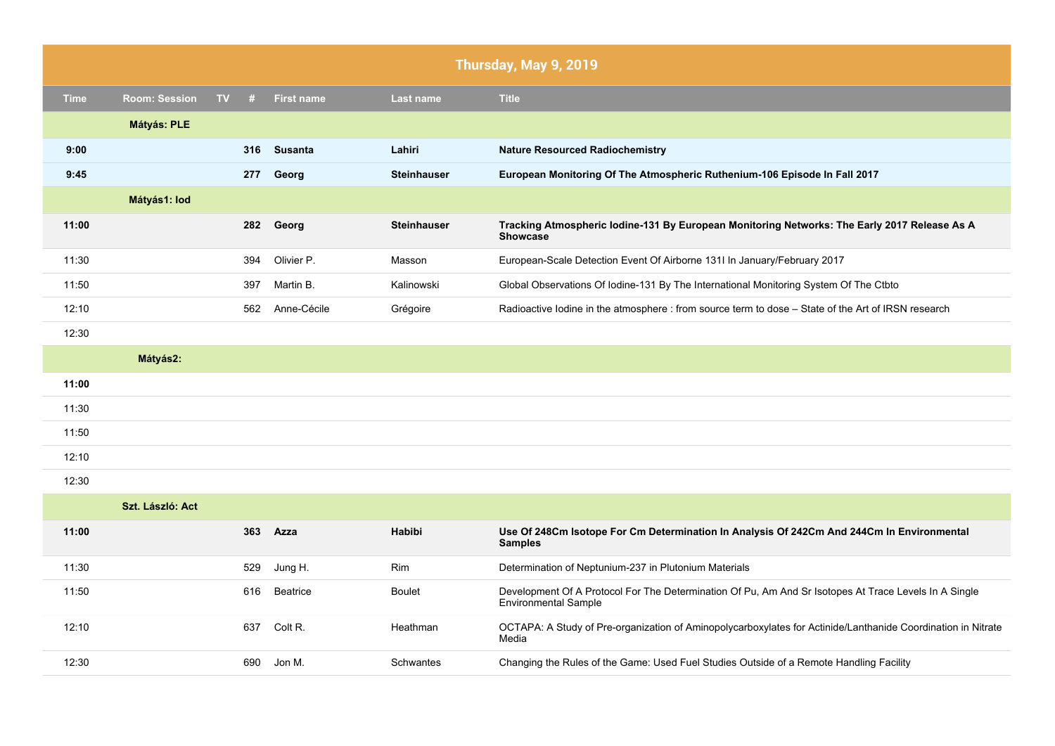|             | Thursday, May 9, 2019 |    |     |                   |                    |                                                                                                                                      |
|-------------|-----------------------|----|-----|-------------------|--------------------|--------------------------------------------------------------------------------------------------------------------------------------|
| <b>Time</b> | <b>Room: Session</b>  | TV | #   | <b>First name</b> | Last name          | <b>Title</b>                                                                                                                         |
|             | Mátyás: PLE           |    |     |                   |                    |                                                                                                                                      |
| 9:00        |                       |    | 316 | <b>Susanta</b>    | Lahiri             | <b>Nature Resourced Radiochemistry</b>                                                                                               |
| 9:45        |                       |    | 277 | Georg             | <b>Steinhauser</b> | European Monitoring Of The Atmospheric Ruthenium-106 Episode In Fall 2017                                                            |
|             | Mátyás1: lod          |    |     |                   |                    |                                                                                                                                      |
| 11:00       |                       |    | 282 | Georg             | <b>Steinhauser</b> | Tracking Atmospheric lodine-131 By European Monitoring Networks: The Early 2017 Release As A<br><b>Showcase</b>                      |
| 11:30       |                       |    | 394 | Olivier P.        | Masson             | European-Scale Detection Event Of Airborne 131I In January/February 2017                                                             |
| 11:50       |                       |    | 397 | Martin B.         | Kalinowski         | Global Observations Of Iodine-131 By The International Monitoring System Of The Ctbto                                                |
| 12:10       |                       |    | 562 | Anne-Cécile       | Grégoire           | Radioactive lodine in the atmosphere : from source term to dose – State of the Art of IRSN research                                  |
| 12:30       |                       |    |     |                   |                    |                                                                                                                                      |
|             | Mátyás2:              |    |     |                   |                    |                                                                                                                                      |
| 11:00       |                       |    |     |                   |                    |                                                                                                                                      |
| 11:30       |                       |    |     |                   |                    |                                                                                                                                      |
| 11:50       |                       |    |     |                   |                    |                                                                                                                                      |
| 12:10       |                       |    |     |                   |                    |                                                                                                                                      |
| 12:30       |                       |    |     |                   |                    |                                                                                                                                      |
|             | Szt. László: Act      |    |     |                   |                    |                                                                                                                                      |
| 11:00       |                       |    | 363 | Azza              | <b>Habibi</b>      | Use Of 248Cm Isotope For Cm Determination In Analysis Of 242Cm And 244Cm In Environmental<br><b>Samples</b>                          |
| 11:30       |                       |    | 529 | Jung H.           | Rim                | Determination of Neptunium-237 in Plutonium Materials                                                                                |
| 11:50       |                       |    | 616 | <b>Beatrice</b>   | <b>Boulet</b>      | Development Of A Protocol For The Determination Of Pu, Am And Sr Isotopes At Trace Levels In A Single<br><b>Environmental Sample</b> |
| 12:10       |                       |    | 637 | Colt R.           | Heathman           | OCTAPA: A Study of Pre-organization of Aminopolycarboxylates for Actinide/Lanthanide Coordination in Nitrate<br>Media                |
| 12:30       |                       |    | 690 | Jon M.            | Schwantes          | Changing the Rules of the Game: Used Fuel Studies Outside of a Remote Handling Facility                                              |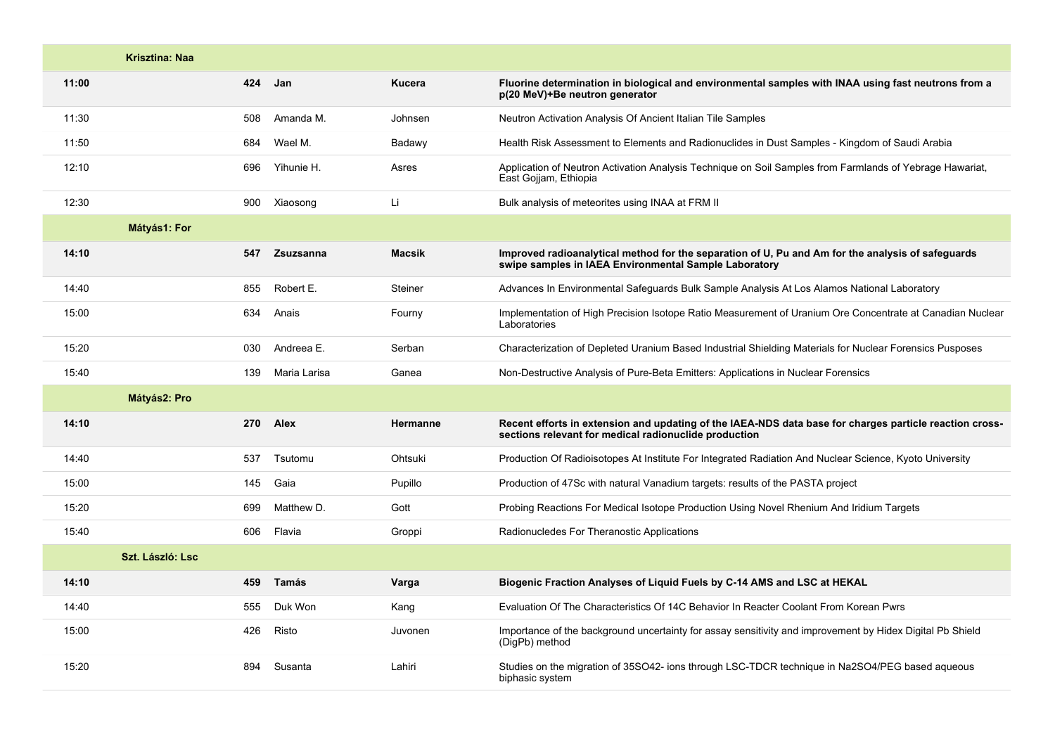|       | <b>Krisztina: Naa</b> |     |              |               |                                                                                                                                                                  |
|-------|-----------------------|-----|--------------|---------------|------------------------------------------------------------------------------------------------------------------------------------------------------------------|
| 11:00 |                       |     | 424 Jan      | Kucera        | Fluorine determination in biological and environmental samples with INAA using fast neutrons from a<br>p(20 MeV)+Be neutron generator                            |
| 11:30 |                       | 508 | Amanda M.    | Johnsen       | Neutron Activation Analysis Of Ancient Italian Tile Samples                                                                                                      |
| 11:50 |                       | 684 | Wael M.      | Badawy        | Health Risk Assessment to Elements and Radionuclides in Dust Samples - Kingdom of Saudi Arabia                                                                   |
| 12:10 |                       | 696 | Yihunie H.   | Asres         | Application of Neutron Activation Analysis Technique on Soil Samples from Farmlands of Yebrage Hawariat,<br>East Gojjam, Ethiopia                                |
| 12:30 |                       |     | 900 Xiaosong | Li            | Bulk analysis of meteorites using INAA at FRM II                                                                                                                 |
|       | Mátyás1: For          |     |              |               |                                                                                                                                                                  |
| 14:10 |                       | 547 | Zsuzsanna    | <b>Macsik</b> | Improved radioanalytical method for the separation of U, Pu and Am for the analysis of safeguards<br>swipe samples in IAEA Environmental Sample Laboratory       |
| 14:40 |                       | 855 | Robert E.    | Steiner       | Advances In Environmental Safeguards Bulk Sample Analysis At Los Alamos National Laboratory                                                                      |
| 15:00 |                       | 634 | Anais        | Fourny        | Implementation of High Precision Isotope Ratio Measurement of Uranium Ore Concentrate at Canadian Nuclear<br>Laboratories                                        |
| 15:20 |                       | 030 | Andreea E.   | Serban        | Characterization of Depleted Uranium Based Industrial Shielding Materials for Nuclear Forensics Pusposes                                                         |
| 15:40 |                       | 139 | Maria Larisa | Ganea         | Non-Destructive Analysis of Pure-Beta Emitters: Applications in Nuclear Forensics                                                                                |
|       | Mátyás2: Pro          |     |              |               |                                                                                                                                                                  |
| 14:10 |                       | 270 | Alex         | Hermanne      | Recent efforts in extension and updating of the IAEA-NDS data base for charges particle reaction cross-<br>sections relevant for medical radionuclide production |
| 14:40 |                       | 537 | Tsutomu      | Ohtsuki       | Production Of Radioisotopes At Institute For Integrated Radiation And Nuclear Science, Kyoto University                                                          |
| 15:00 |                       | 145 | Gaia         | Pupillo       | Production of 47Sc with natural Vanadium targets: results of the PASTA project                                                                                   |
| 15:20 |                       | 699 | Matthew D.   | Gott          | Probing Reactions For Medical Isotope Production Using Novel Rhenium And Iridium Targets                                                                         |
| 15:40 |                       | 606 | Flavia       | Groppi        | Radionucledes For Theranostic Applications                                                                                                                       |
|       | Szt. László: Lsc.     |     |              |               |                                                                                                                                                                  |
| 14:10 |                       | 459 | <b>Tamás</b> | Varga         | Biogenic Fraction Analyses of Liquid Fuels by C-14 AMS and LSC at HEKAL                                                                                          |
| 14:40 |                       | 555 | Duk Won      | Kang          | Evaluation Of The Characteristics Of 14C Behavior In Reacter Coolant From Korean Pwrs                                                                            |
| 15:00 |                       | 426 | Risto        | Juvonen       | Importance of the background uncertainty for assay sensitivity and improvement by Hidex Digital Pb Shield<br>(DigPb) method                                      |
| 15:20 |                       | 894 | Susanta      | Lahiri        | Studies on the migration of 35SO42- ions through LSC-TDCR technique in Na2SO4/PEG based aqueous<br>biphasic system                                               |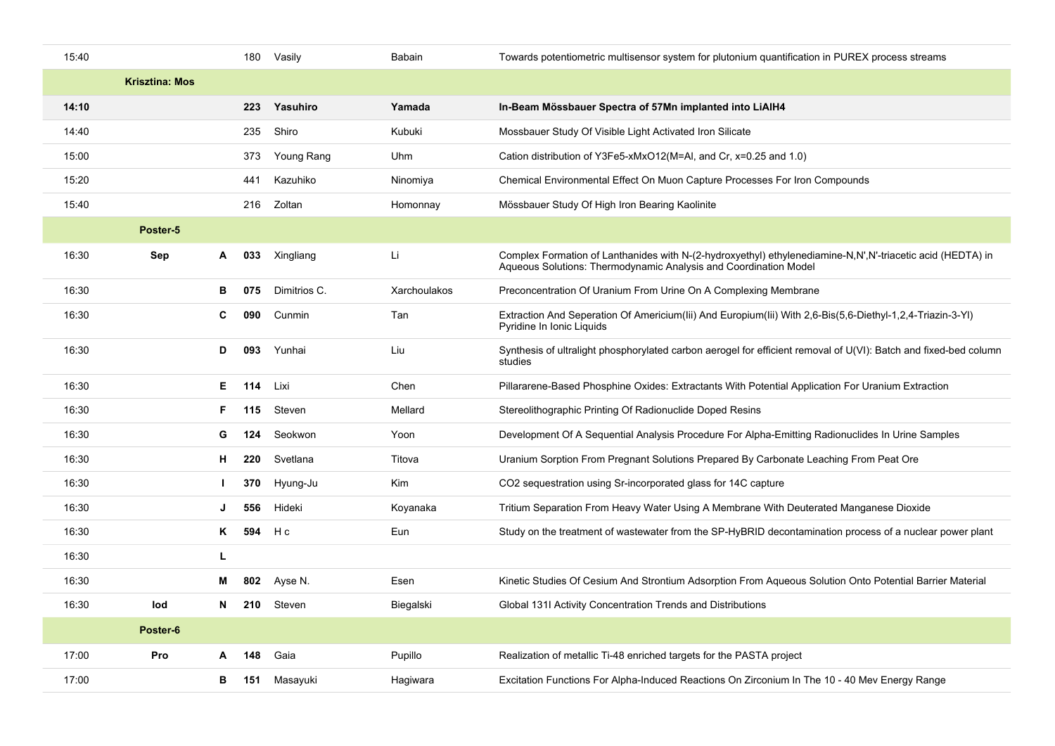| 15:40 |                       |              | 180 | Vasily       | Babain       | Towards potentiometric multisensor system for plutonium quantification in PUREX process streams                                                                                |
|-------|-----------------------|--------------|-----|--------------|--------------|--------------------------------------------------------------------------------------------------------------------------------------------------------------------------------|
|       | <b>Krisztina: Mos</b> |              |     |              |              |                                                                                                                                                                                |
| 14:10 |                       |              | 223 | Yasuhiro     | Yamada       | In-Beam Mössbauer Spectra of 57Mn implanted into LiAIH4                                                                                                                        |
| 14:40 |                       |              | 235 | Shiro        | Kubuki       | Mossbauer Study Of Visible Light Activated Iron Silicate                                                                                                                       |
| 15:00 |                       |              | 373 | Young Rang   | Uhm          | Cation distribution of Y3Fe5-xMxO12(M=AI, and Cr, x=0.25 and 1.0)                                                                                                              |
| 15:20 |                       |              | 441 | Kazuhiko     | Ninomiya     | Chemical Environmental Effect On Muon Capture Processes For Iron Compounds                                                                                                     |
| 15:40 |                       |              | 216 | Zoltan       | Homonnay     | Mössbauer Study Of High Iron Bearing Kaolinite                                                                                                                                 |
|       | Poster-5              |              |     |              |              |                                                                                                                                                                                |
| 16:30 | Sep                   | A            | 033 | Xingliang    | Li           | Complex Formation of Lanthanides with N-(2-hydroxyethyl) ethylenediamine-N,N',N'-triacetic acid (HEDTA) in<br>Aqueous Solutions: Thermodynamic Analysis and Coordination Model |
| 16:30 |                       | в            | 075 | Dimitrios C. | Xarchoulakos | Preconcentration Of Uranium From Urine On A Complexing Membrane                                                                                                                |
| 16:30 |                       | C            | 090 | Cunmin       | Tan          | Extraction And Seperation Of Americium(lii) And Europium(lii) With 2,6-Bis(5,6-Diethyl-1,2,4-Triazin-3-YI)<br>Pyridine In Ionic Liquids                                        |
| 16:30 |                       | D            | 093 | Yunhai       | Liu          | Synthesis of ultralight phosphorylated carbon aerogel for efficient removal of U(VI): Batch and fixed-bed column<br>studies                                                    |
| 16:30 |                       | Е.           | 114 | Lixi         | Chen         | Pillararene-Based Phosphine Oxides: Extractants With Potential Application For Uranium Extraction                                                                              |
| 16:30 |                       | F.           | 115 | Steven       | Mellard      | Stereolithographic Printing Of Radionuclide Doped Resins                                                                                                                       |
| 16:30 |                       | G            | 124 | Seokwon      | Yoon         | Development Of A Sequential Analysis Procedure For Alpha-Emitting Radionuclides In Urine Samples                                                                               |
| 16:30 |                       | н            | 220 | Svetlana     | Titova       | Uranium Sorption From Pregnant Solutions Prepared By Carbonate Leaching From Peat Ore                                                                                          |
| 16:30 |                       | $\mathbf{L}$ | 370 | Hyung-Ju     | Kim          | CO2 sequestration using Sr-incorporated glass for 14C capture                                                                                                                  |
| 16:30 |                       | J            | 556 | Hideki       | Koyanaka     | Tritium Separation From Heavy Water Using A Membrane With Deuterated Manganese Dioxide                                                                                         |
| 16:30 |                       | Κ            | 594 | H c          | Eun          | Study on the treatment of wastewater from the SP-HyBRID decontamination process of a nuclear power plant                                                                       |
| 16:30 |                       | L            |     |              |              |                                                                                                                                                                                |
| 16:30 |                       | м            | 802 | Ayse N.      | Esen         | Kinetic Studies Of Cesium And Strontium Adsorption From Aqueous Solution Onto Potential Barrier Material                                                                       |
| 16:30 | lod                   | N            | 210 | Steven       | Biegalski    | Global 131I Activity Concentration Trends and Distributions                                                                                                                    |
|       | Poster-6              |              |     |              |              |                                                                                                                                                                                |
| 17:00 | Pro                   | A            | 148 | Gaia         | Pupillo      | Realization of metallic Ti-48 enriched targets for the PASTA project                                                                                                           |
| 17:00 |                       | в            | 151 | Masayuki     | Hagiwara     | Excitation Functions For Alpha-Induced Reactions On Zirconium In The 10 - 40 Mev Energy Range                                                                                  |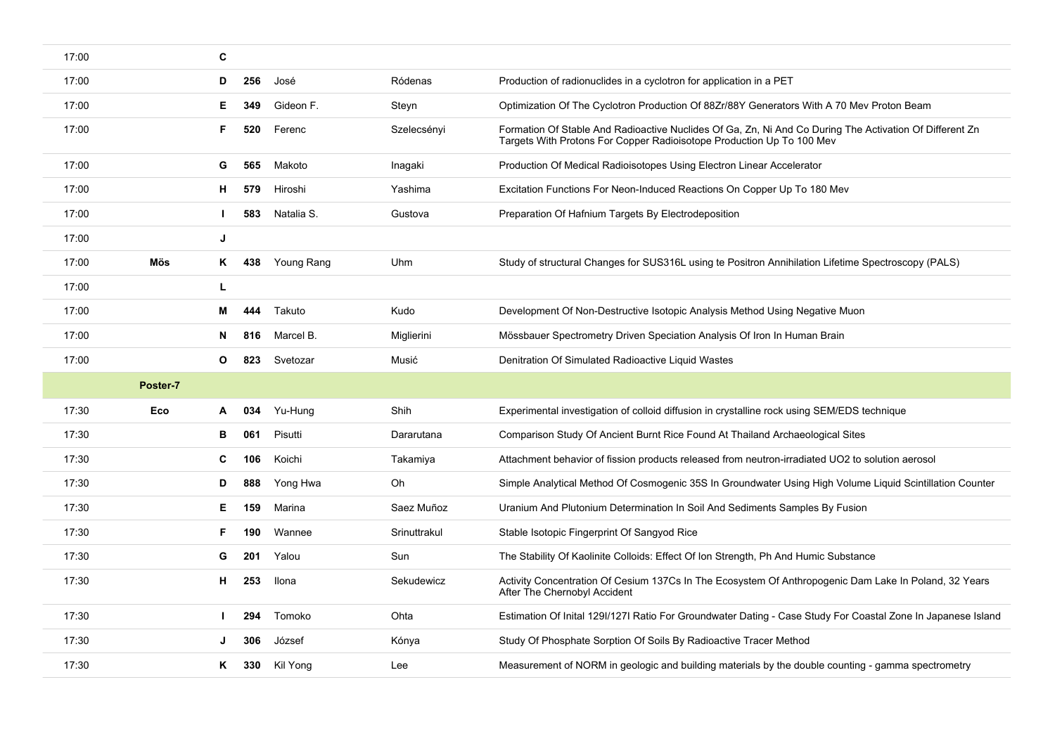| 17:00 |          | C                      |              |                                                                                                                                                                                  |
|-------|----------|------------------------|--------------|----------------------------------------------------------------------------------------------------------------------------------------------------------------------------------|
| 17:00 |          | 256<br>José<br>D       | Ródenas      | Production of radionuclides in a cyclotron for application in a PET                                                                                                              |
| 17:00 |          | Gideon F.<br>Е<br>349  | Steyn        | Optimization Of The Cyclotron Production Of 88Zr/88Y Generators With A 70 Mev Proton Beam                                                                                        |
| 17:00 |          | F.<br>520<br>Ferenc    | Szelecsényi  | Formation Of Stable And Radioactive Nuclides Of Ga, Zn, Ni And Co During The Activation Of Different Zn<br>Targets With Protons For Copper Radioisotope Production Up To 100 Mev |
| 17:00 |          | 565<br>Makoto<br>G     | Inagaki      | Production Of Medical Radioisotopes Using Electron Linear Accelerator                                                                                                            |
| 17:00 |          | 579<br>Hiroshi<br>H.   | Yashima      | Excitation Functions For Neon-Induced Reactions On Copper Up To 180 Mev                                                                                                          |
| 17:00 |          | Natalia S.<br>583      | Gustova      | Preparation Of Hafnium Targets By Electrodeposition                                                                                                                              |
| 17:00 |          | J                      |              |                                                                                                                                                                                  |
| 17:00 | Mös      | Young Rang<br>ĸ<br>438 | Uhm          | Study of structural Changes for SUS316L using te Positron Annihilation Lifetime Spectroscopy (PALS)                                                                              |
| 17:00 |          | L                      |              |                                                                                                                                                                                  |
| 17:00 |          | 444<br>Takuto<br>м     | Kudo         | Development Of Non-Destructive Isotopic Analysis Method Using Negative Muon                                                                                                      |
| 17:00 |          | 816<br>Marcel B.<br>N  | Miglierini   | Mössbauer Spectrometry Driven Speciation Analysis Of Iron In Human Brain                                                                                                         |
| 17:00 |          | 823<br>Svetozar<br>O   | Musić        | Denitration Of Simulated Radioactive Liquid Wastes                                                                                                                               |
|       |          |                        |              |                                                                                                                                                                                  |
|       | Poster-7 |                        |              |                                                                                                                                                                                  |
| 17:30 | Eco      | Yu-Hung<br>034<br>A    | Shih         | Experimental investigation of colloid diffusion in crystalline rock using SEM/EDS technique                                                                                      |
| 17:30 |          | 061<br>Pisutti<br>в    | Dararutana   | Comparison Study Of Ancient Burnt Rice Found At Thailand Archaeological Sites                                                                                                    |
| 17:30 |          | C<br>106<br>Koichi     | Takamiya     | Attachment behavior of fission products released from neutron-irradiated UO2 to solution aerosol                                                                                 |
| 17:30 |          | 888<br>Yong Hwa<br>D   | Oh           | Simple Analytical Method Of Cosmogenic 35S In Groundwater Using High Volume Liquid Scintillation Counter                                                                         |
| 17:30 |          | Marina<br>Е<br>159     | Saez Muñoz   | Uranium And Plutonium Determination In Soil And Sediments Samples By Fusion                                                                                                      |
| 17:30 |          | F.<br>190<br>Wannee    | Srinuttrakul | Stable Isotopic Fingerprint Of Sangyod Rice                                                                                                                                      |
| 17:30 |          | 201<br>G<br>Yalou      | Sun          | The Stability Of Kaolinite Colloids: Effect Of Ion Strength, Ph And Humic Substance                                                                                              |
| 17:30 |          | 253<br>н<br>Ilona      | Sekudewicz   | Activity Concentration Of Cesium 137Cs In The Ecosystem Of Anthropogenic Dam Lake In Poland, 32 Years<br>After The Chernobyl Accident                                            |
| 17:30 |          | Tomoko<br>294          | Ohta         | Estimation Of Inital 129//1271 Ratio For Groundwater Dating - Case Study For Coastal Zone In Japanese Island                                                                     |
| 17:30 |          | József<br>306          | Kónya        | Study Of Phosphate Sorption Of Soils By Radioactive Tracer Method                                                                                                                |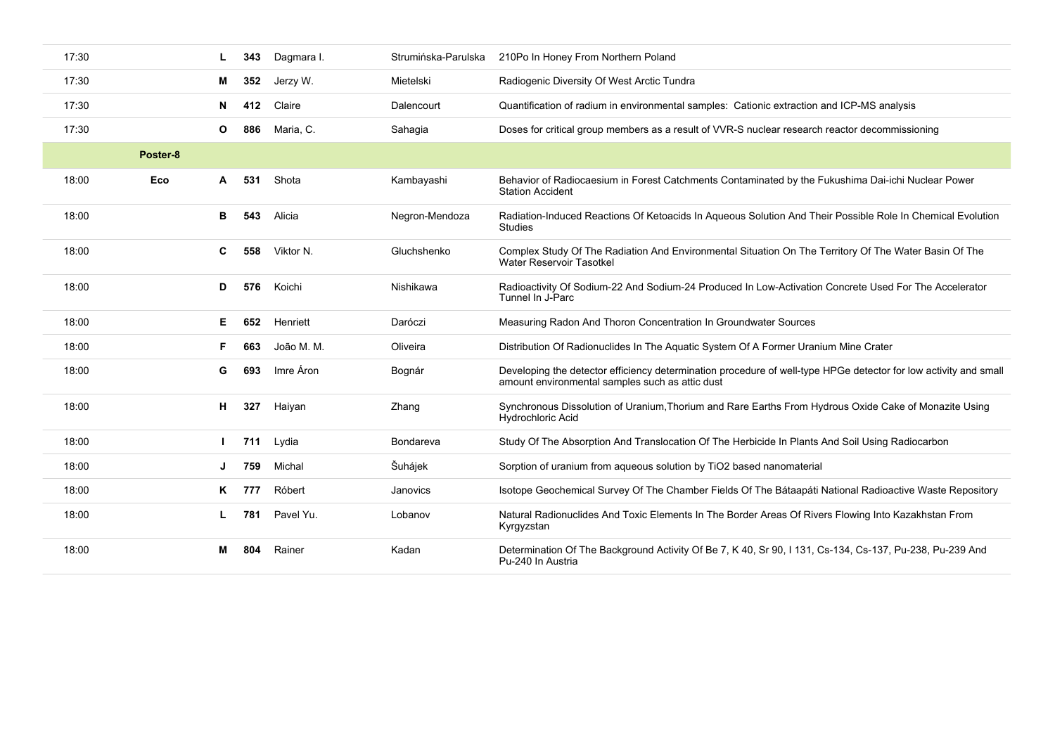| 17:30 |          |    | 343 | Dagmara I. | Strumińska-Parulska | 210Po In Honey From Northern Poland                                                                                                                                 |
|-------|----------|----|-----|------------|---------------------|---------------------------------------------------------------------------------------------------------------------------------------------------------------------|
| 17:30 |          | М  | 352 | Jerzy W.   | Mietelski           | Radiogenic Diversity Of West Arctic Tundra                                                                                                                          |
| 17:30 |          | N  | 412 | Claire     | Dalencourt          | Quantification of radium in environmental samples: Cationic extraction and ICP-MS analysis                                                                          |
| 17:30 |          | O  | 886 | Maria, C.  | Sahaqia             | Doses for critical group members as a result of VVR-S nuclear research reactor decommissioning                                                                      |
|       | Poster-8 |    |     |            |                     |                                                                                                                                                                     |
| 18:00 | Eco      | A  | 531 | Shota      | Kambayashi          | Behavior of Radiocaesium in Forest Catchments Contaminated by the Fukushima Dai-ichi Nuclear Power<br><b>Station Accident</b>                                       |
| 18:00 |          | в  | 543 | Alicia     | Negron-Mendoza      | Radiation-Induced Reactions Of Ketoacids In Aqueous Solution And Their Possible Role In Chemical Evolution<br><b>Studies</b>                                        |
| 18:00 |          | C  | 558 | Viktor N.  | Gluchshenko         | Complex Study Of The Radiation And Environmental Situation On The Territory Of The Water Basin Of The<br>Water Reservoir Tasotkel                                   |
| 18:00 |          | D  | 576 | Koichi     | Nishikawa           | Radioactivity Of Sodium-22 And Sodium-24 Produced In Low-Activation Concrete Used For The Accelerator<br>Tunnel In J-Parc                                           |
| 18:00 |          | Е. | 652 | Henriett   | Daróczi             | Measuring Radon And Thoron Concentration In Groundwater Sources                                                                                                     |
| 18:00 |          | F. | 663 | João M. M. | Oliveira            | Distribution Of Radionuclides In The Aquatic System Of A Former Uranium Mine Crater                                                                                 |
| 18:00 |          | G  | 693 | Imre Áron  | Bognár              | Developing the detector efficiency determination procedure of well-type HPGe detector for low activity and small<br>amount environmental samples such as attic dust |
| 18:00 |          | н. | 327 | Haiyan     | Zhang               | Synchronous Dissolution of Uranium, Thorium and Rare Earths From Hydrous Oxide Cake of Monazite Using<br>Hydrochloric Acid                                          |
| 18:00 |          |    | 711 | Lydia      | Bondareva           | Study Of The Absorption And Translocation Of The Herbicide In Plants And Soil Using Radiocarbon                                                                     |
| 18:00 |          | J  | 759 | Michal     | Šuhájek             | Sorption of uranium from aqueous solution by TiO2 based nanomaterial                                                                                                |
| 18:00 |          | K. | 777 | Róbert     | Janovics            | Isotope Geochemical Survey Of The Chamber Fields Of The Bátaapáti National Radioactive Waste Repository                                                             |
| 18:00 |          | L. | 781 | Pavel Yu.  | Lobanov             | Natural Radionuclides And Toxic Elements In The Border Areas Of Rivers Flowing Into Kazakhstan From<br>Kyrgyzstan                                                   |
| 18:00 |          | м  | 804 | Rainer     | Kadan               | Determination Of The Background Activity Of Be 7, K 40, Sr 90, I 131, Cs-134, Cs-137, Pu-238, Pu-239 And<br>Pu-240 In Austria                                       |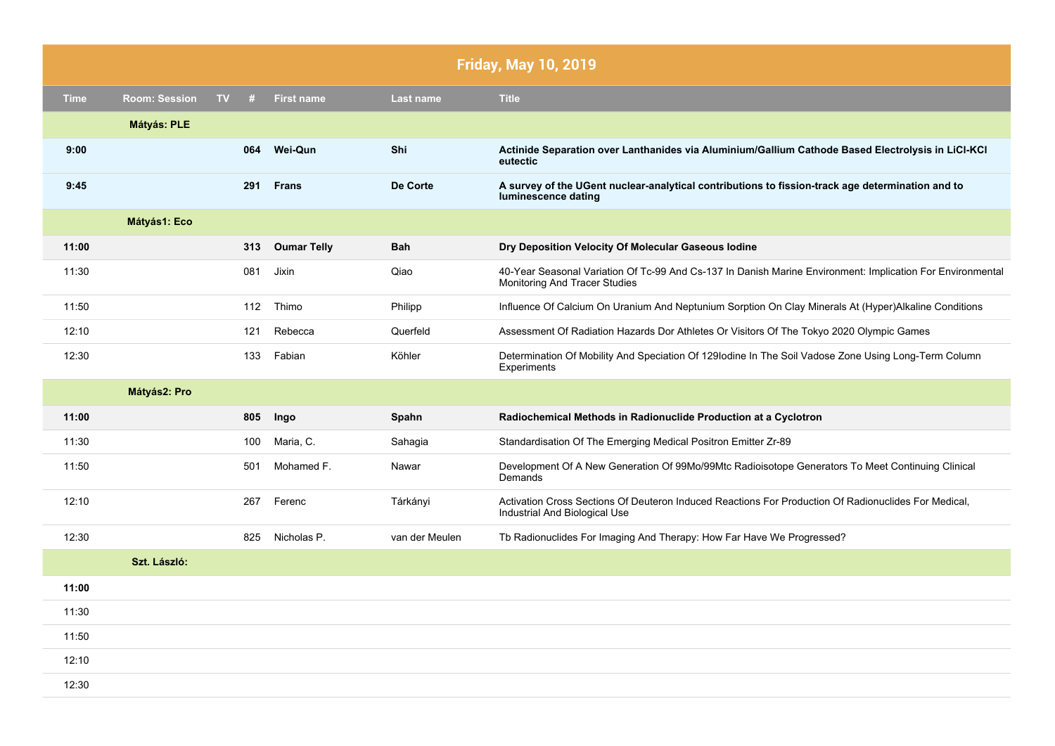|             | <b>Friday, May 10, 2019</b> |    |     |                    |                  |                                                                                                                                             |
|-------------|-----------------------------|----|-----|--------------------|------------------|---------------------------------------------------------------------------------------------------------------------------------------------|
| <b>Time</b> | <b>Room: Session</b>        | TV | #   | <b>First name</b>  | <b>Last name</b> | <b>Title</b>                                                                                                                                |
|             | Mátyás: PLE                 |    |     |                    |                  |                                                                                                                                             |
| 9:00        |                             |    | 064 | <b>Wei-Qun</b>     | Shi              | Actinide Separation over Lanthanides via Aluminium/Gallium Cathode Based Electrolysis in LiCl-KCl<br>eutectic                               |
| 9:45        |                             |    | 291 | <b>Frans</b>       | De Corte         | A survey of the UGent nuclear-analytical contributions to fission-track age determination and to<br>luminescence dating                     |
|             | Mátyás1: Eco                |    |     |                    |                  |                                                                                                                                             |
| 11:00       |                             |    | 313 | <b>Oumar Telly</b> | <b>Bah</b>       | Dry Deposition Velocity Of Molecular Gaseous Iodine                                                                                         |
| 11:30       |                             |    | 081 | Jixin              | Qiao             | 40-Year Seasonal Variation Of Tc-99 And Cs-137 In Danish Marine Environment: Implication For Environmental<br>Monitoring And Tracer Studies |
| 11:50       |                             |    | 112 | Thimo              | Philipp          | Influence Of Calcium On Uranium And Neptunium Sorption On Clay Minerals At (Hyper)Alkaline Conditions                                       |
| 12:10       |                             |    | 121 | Rebecca            | Querfeld         | Assessment Of Radiation Hazards Dor Athletes Or Visitors Of The Tokyo 2020 Olympic Games                                                    |
| 12:30       |                             |    | 133 | Fabian             | Köhler           | Determination Of Mobility And Speciation Of 129 lodine In The Soil Vadose Zone Using Long-Term Column<br>Experiments                        |
|             | Mátyás2: Pro                |    |     |                    |                  |                                                                                                                                             |
| 11:00       |                             |    | 805 | Ingo               | Spahn            | Radiochemical Methods in Radionuclide Production at a Cyclotron                                                                             |
| 11:30       |                             |    | 100 | Maria, C.          | Sahagia          | Standardisation Of The Emerging Medical Positron Emitter Zr-89                                                                              |
| 11:50       |                             |    | 501 | Mohamed F.         | Nawar            | Development Of A New Generation Of 99Mo/99Mtc Radioisotope Generators To Meet Continuing Clinical<br>Demands                                |
| 12:10       |                             |    | 267 | Ferenc             | Tárkányi         | Activation Cross Sections Of Deuteron Induced Reactions For Production Of Radionuclides For Medical,<br>Industrial And Biological Use       |
| 12:30       |                             |    | 825 | Nicholas P.        | van der Meulen   | Tb Radionuclides For Imaging And Therapy: How Far Have We Progressed?                                                                       |
|             | Szt. László:                |    |     |                    |                  |                                                                                                                                             |
| 11:00       |                             |    |     |                    |                  |                                                                                                                                             |
| 11:30       |                             |    |     |                    |                  |                                                                                                                                             |
| 11:50       |                             |    |     |                    |                  |                                                                                                                                             |
| 12:10       |                             |    |     |                    |                  |                                                                                                                                             |
| 12:30       |                             |    |     |                    |                  |                                                                                                                                             |